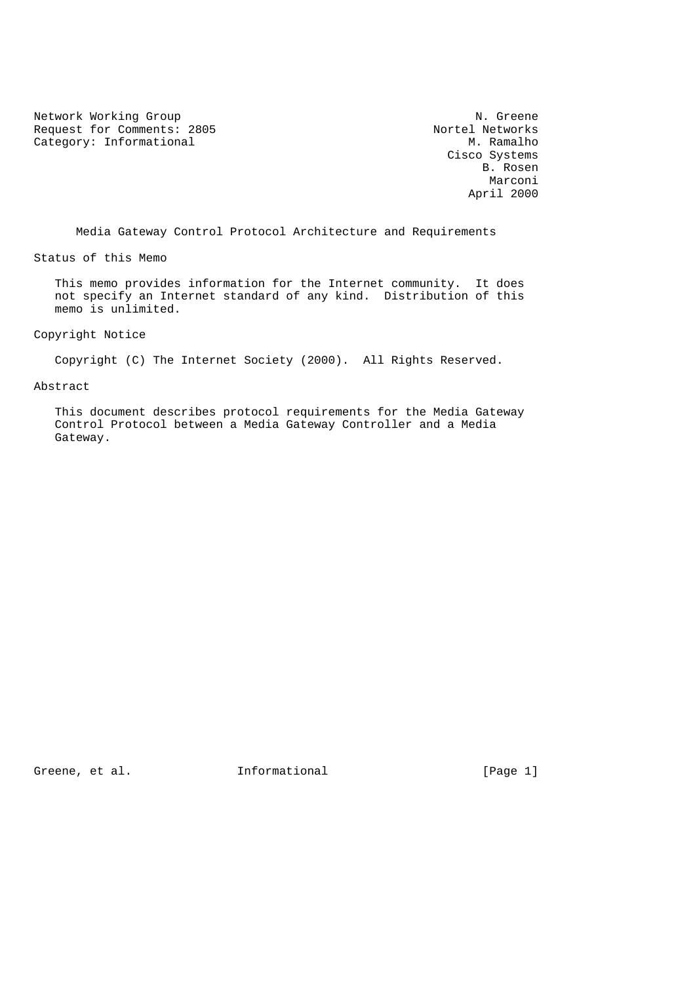Network Working Group<br>
Request for Comments: 2805<br>
Nortel Networks Request for Comments: 2805 Nortel Networks<br>
Category: Informational M. Ramalho Category: Informational

 Cisco Systems B. Rosen Marconi (1999) and the set of the set of the set of the set of the set of the set of the set of the set of the April 2000

Media Gateway Control Protocol Architecture and Requirements

Status of this Memo

 This memo provides information for the Internet community. It does not specify an Internet standard of any kind. Distribution of this memo is unlimited.

Copyright Notice

Copyright (C) The Internet Society (2000). All Rights Reserved.

Abstract

 This document describes protocol requirements for the Media Gateway Control Protocol between a Media Gateway Controller and a Media Gateway.

Greene, et al. 1nformational [Page 1]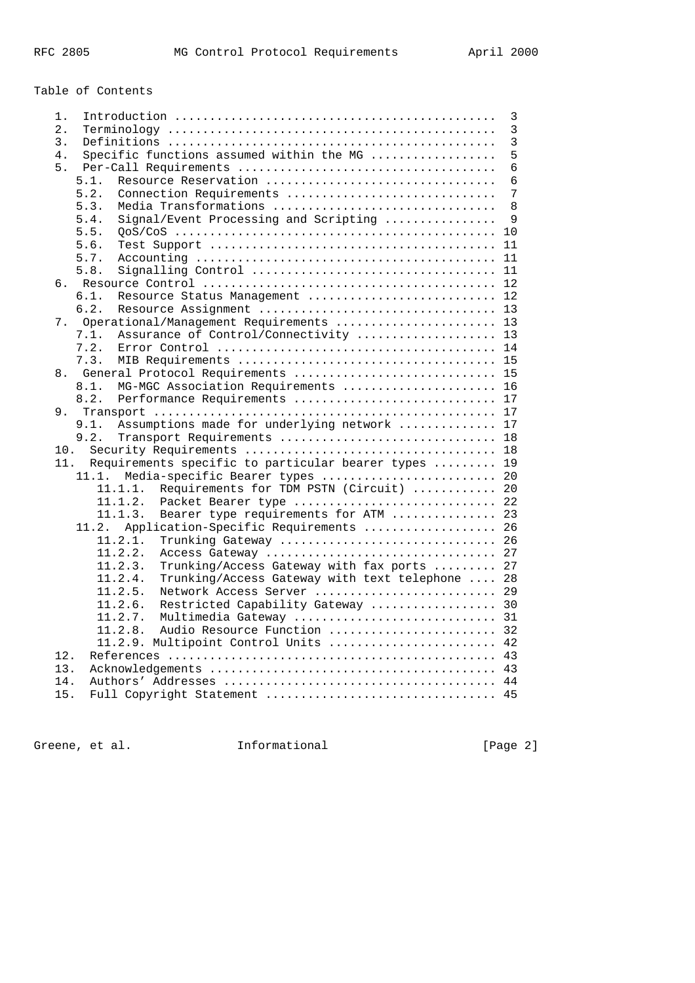# Table of Contents

| 3<br>1.                                                     |
|-------------------------------------------------------------|
| $\mathbf{3}$<br>2.                                          |
| 3<br>3.                                                     |
| Specific functions assumed within the MG<br>5<br>4.         |
| 6<br>5.                                                     |
| Resource Reservation<br>6<br>5.1.                           |
| 5.2.<br>Connection Requirements<br>7                        |
| 5.3.<br>Media Transformations<br>8                          |
| Signal/Event Processing and Scripting<br>5.4.<br>9          |
| 5.5.<br>10                                                  |
| 5.6.<br>11                                                  |
| 5.7.<br>11                                                  |
| 5.8.                                                        |
| б.                                                          |
| 6.1.<br>Resource Status Management  12                      |
| 6.2.                                                        |
| Operational/Management Requirements  13<br>7.               |
| 7.1.<br>Assurance of Control/Connectivity  13               |
| 7.2.                                                        |
| 7.3.                                                        |
| General Protocol Requirements  15<br>8.                     |
| MG-MGC Association Requirements  16<br>8.1.                 |
| 8.2.<br>Performance Requirements  17                        |
|                                                             |
| Assumptions made for underlying network  17<br>9.1.         |
| 9.2.<br>Transport Requirements  18                          |
| 10.                                                         |
| Requirements specific to particular bearer types  19<br>11. |
| Media-specific Bearer types  20<br>11.1.                    |
| Requirements for TDM PSTN (Circuit)  20<br>11.1.1.          |
| 11.1.2.<br>Packet Bearer type  22                           |
| Bearer type requirements for ATM  23<br>11.1.3.             |
| Application-Specific Requirements  26<br>11.2.              |
| 11.2.1.<br>Trunking Gateway  26                             |
| 11.2.2.<br>Access Gateway  27                               |
| Trunking/Access Gateway with fax ports  27<br>11.2.3.       |
| 11.2.4.<br>Trunking/Access Gateway with text telephone  28  |
| 11.2.5.<br>Network Access Server<br>29                      |
| 11.2.6.<br>Restricted Capability Gateway  30                |
| 11.2.7.                                                     |
| 11.2.8.<br>Audio Resource Function  32                      |
| 11.2.9. Multipoint Control Units  42                        |
| 12.                                                         |
| 13.                                                         |
| 14.                                                         |
| 15.<br>Full Copyright Statement  45                         |

Greene, et al. 1nformational 1999 [Page 2]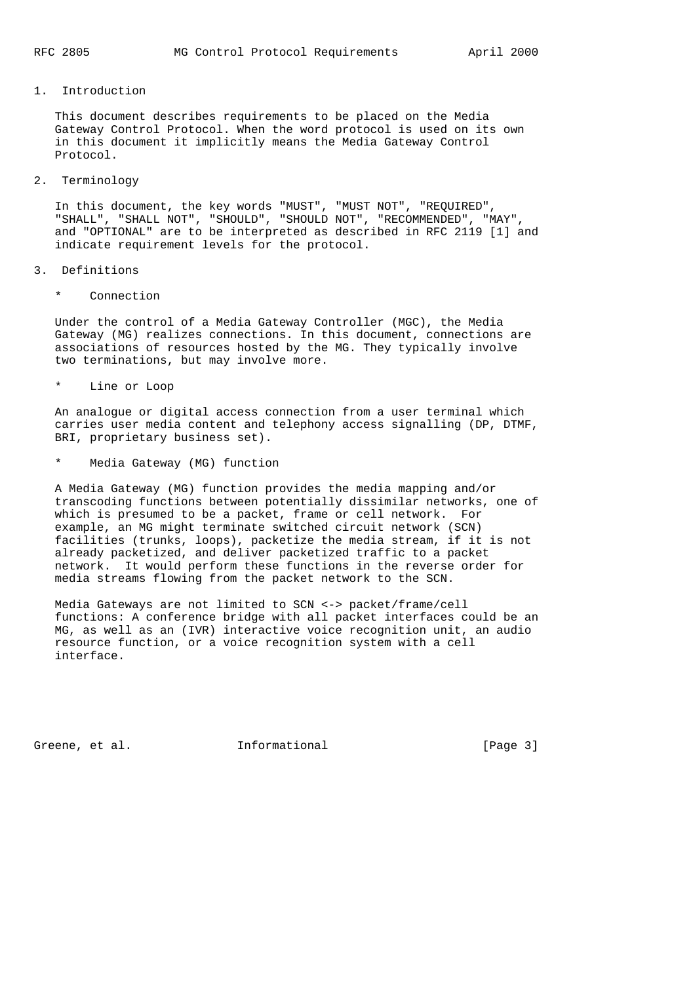1. Introduction

 This document describes requirements to be placed on the Media Gateway Control Protocol. When the word protocol is used on its own in this document it implicitly means the Media Gateway Control Protocol.

2. Terminology

 In this document, the key words "MUST", "MUST NOT", "REQUIRED", "SHALL", "SHALL NOT", "SHOULD", "SHOULD NOT", "RECOMMENDED", "MAY", and "OPTIONAL" are to be interpreted as described in RFC 2119 [1] and indicate requirement levels for the protocol.

- 3. Definitions
	- \* Connection

 Under the control of a Media Gateway Controller (MGC), the Media Gateway (MG) realizes connections. In this document, connections are associations of resources hosted by the MG. They typically involve two terminations, but may involve more.

\* Line or Loop

 An analogue or digital access connection from a user terminal which carries user media content and telephony access signalling (DP, DTMF, BRI, proprietary business set).

Media Gateway (MG) function

 A Media Gateway (MG) function provides the media mapping and/or transcoding functions between potentially dissimilar networks, one of which is presumed to be a packet, frame or cell network. For example, an MG might terminate switched circuit network (SCN) facilities (trunks, loops), packetize the media stream, if it is not already packetized, and deliver packetized traffic to a packet network. It would perform these functions in the reverse order for media streams flowing from the packet network to the SCN.

 Media Gateways are not limited to SCN <-> packet/frame/cell functions: A conference bridge with all packet interfaces could be an MG, as well as an (IVR) interactive voice recognition unit, an audio resource function, or a voice recognition system with a cell interface.

Greene, et al. 1nformational [Page 3]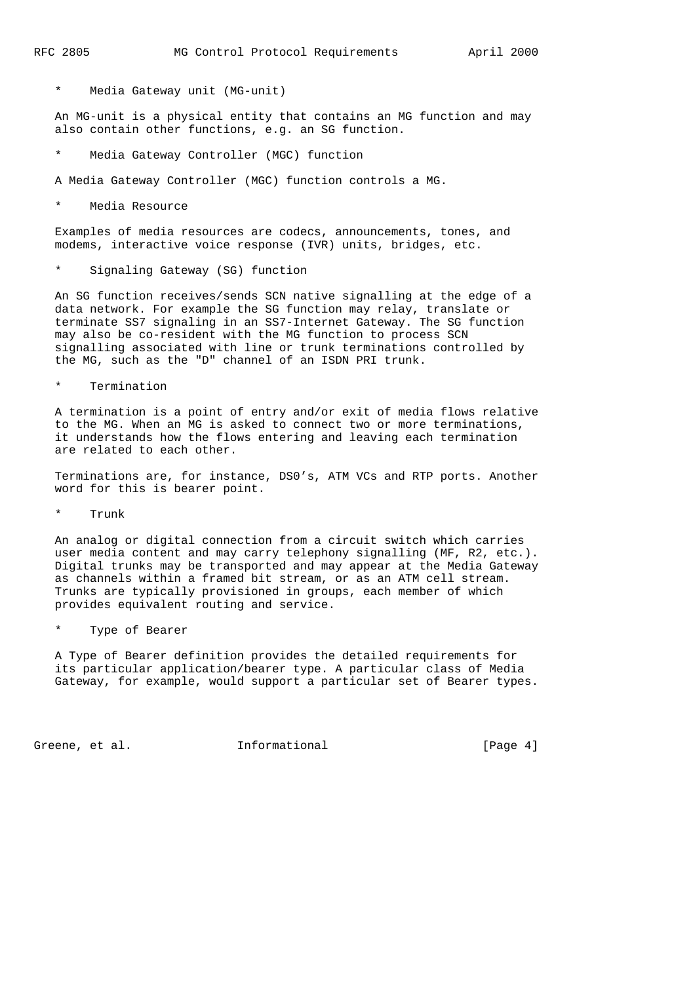Media Gateway unit (MG-unit)

 An MG-unit is a physical entity that contains an MG function and may also contain other functions, e.g. an SG function.

- Media Gateway Controller (MGC) function
- A Media Gateway Controller (MGC) function controls a MG.
- \* Media Resource

 Examples of media resources are codecs, announcements, tones, and modems, interactive voice response (IVR) units, bridges, etc.

\* Signaling Gateway (SG) function

 An SG function receives/sends SCN native signalling at the edge of a data network. For example the SG function may relay, translate or terminate SS7 signaling in an SS7-Internet Gateway. The SG function may also be co-resident with the MG function to process SCN signalling associated with line or trunk terminations controlled by the MG, such as the "D" channel of an ISDN PRI trunk.

\* Termination

 A termination is a point of entry and/or exit of media flows relative to the MG. When an MG is asked to connect two or more terminations, it understands how the flows entering and leaving each termination are related to each other.

 Terminations are, for instance, DS0's, ATM VCs and RTP ports. Another word for this is bearer point.

\* Trunk

 An analog or digital connection from a circuit switch which carries user media content and may carry telephony signalling (MF, R2, etc.). Digital trunks may be transported and may appear at the Media Gateway as channels within a framed bit stream, or as an ATM cell stream. Trunks are typically provisioned in groups, each member of which provides equivalent routing and service.

\* Type of Bearer

 A Type of Bearer definition provides the detailed requirements for its particular application/bearer type. A particular class of Media Gateway, for example, would support a particular set of Bearer types.

Greene, et al. 1nformational [Page 4]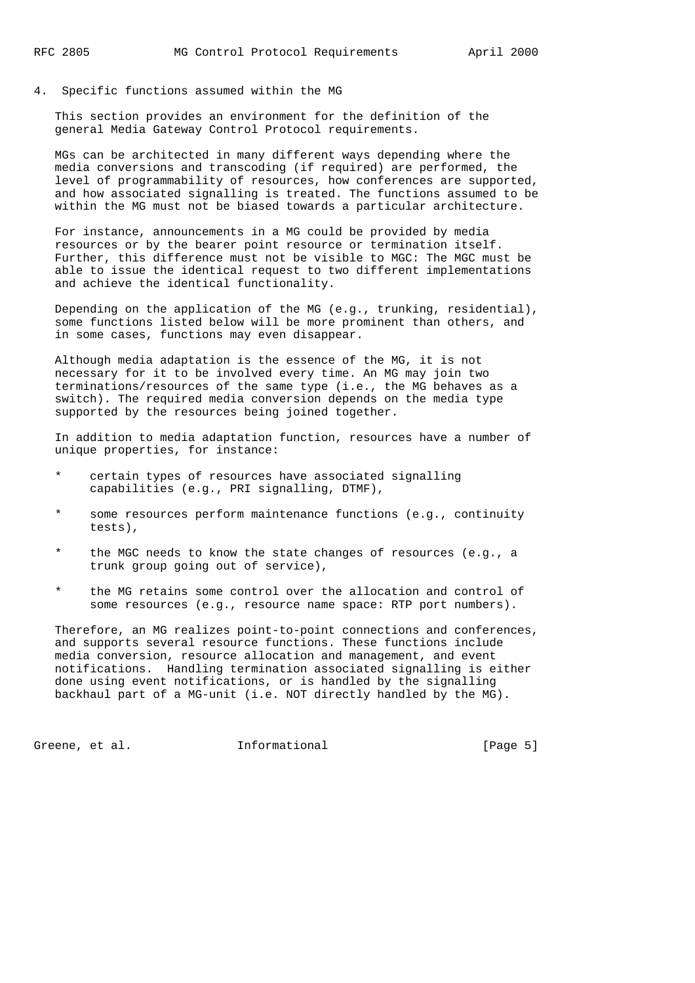4. Specific functions assumed within the MG

 This section provides an environment for the definition of the general Media Gateway Control Protocol requirements.

 MGs can be architected in many different ways depending where the media conversions and transcoding (if required) are performed, the level of programmability of resources, how conferences are supported, and how associated signalling is treated. The functions assumed to be within the MG must not be biased towards a particular architecture.

 For instance, announcements in a MG could be provided by media resources or by the bearer point resource or termination itself. Further, this difference must not be visible to MGC: The MGC must be able to issue the identical request to two different implementations and achieve the identical functionality.

 Depending on the application of the MG (e.g., trunking, residential), some functions listed below will be more prominent than others, and in some cases, functions may even disappear.

 Although media adaptation is the essence of the MG, it is not necessary for it to be involved every time. An MG may join two terminations/resources of the same type (i.e., the MG behaves as a switch). The required media conversion depends on the media type supported by the resources being joined together.

 In addition to media adaptation function, resources have a number of unique properties, for instance:

- certain types of resources have associated signalling capabilities (e.g., PRI signalling, DTMF),
- \* some resources perform maintenance functions (e.g., continuity tests),
- the MGC needs to know the state changes of resources (e.g., a trunk group going out of service),
- \* the MG retains some control over the allocation and control of some resources (e.g., resource name space: RTP port numbers).

 Therefore, an MG realizes point-to-point connections and conferences, and supports several resource functions. These functions include media conversion, resource allocation and management, and event notifications. Handling termination associated signalling is either done using event notifications, or is handled by the signalling backhaul part of a MG-unit (i.e. NOT directly handled by the MG).

Greene, et al. 1nformational [Page 5]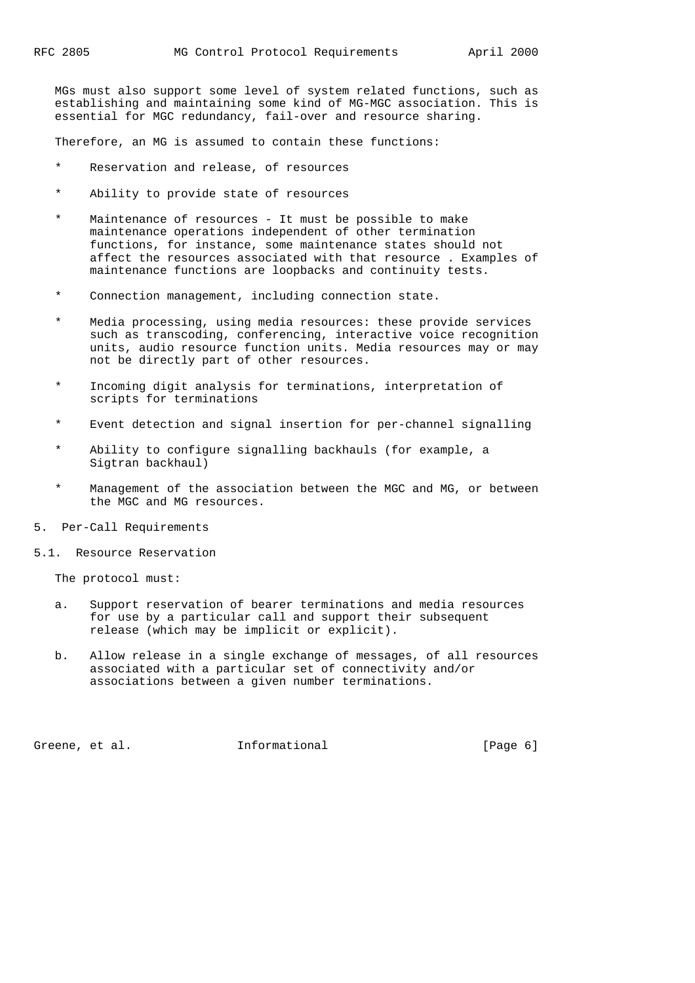MGs must also support some level of system related functions, such as establishing and maintaining some kind of MG-MGC association. This is essential for MGC redundancy, fail-over and resource sharing.

Therefore, an MG is assumed to contain these functions:

- \* Reservation and release, of resources
- \* Ability to provide state of resources
- \* Maintenance of resources It must be possible to make maintenance operations independent of other termination functions, for instance, some maintenance states should not affect the resources associated with that resource . Examples of maintenance functions are loopbacks and continuity tests.
- \* Connection management, including connection state.
- Media processing, using media resources: these provide services such as transcoding, conferencing, interactive voice recognition units, audio resource function units. Media resources may or may not be directly part of other resources.
- Incoming digit analysis for terminations, interpretation of scripts for terminations
- \* Event detection and signal insertion for per-channel signalling
- Ability to configure signalling backhauls (for example, a Sigtran backhaul)
- Management of the association between the MGC and MG, or between the MGC and MG resources.
- 5. Per-Call Requirements
- 5.1. Resource Reservation

The protocol must:

- a. Support reservation of bearer terminations and media resources for use by a particular call and support their subsequent release (which may be implicit or explicit).
- b. Allow release in a single exchange of messages, of all resources associated with a particular set of connectivity and/or associations between a given number terminations.

Greene, et al. **Informational** [Page 6]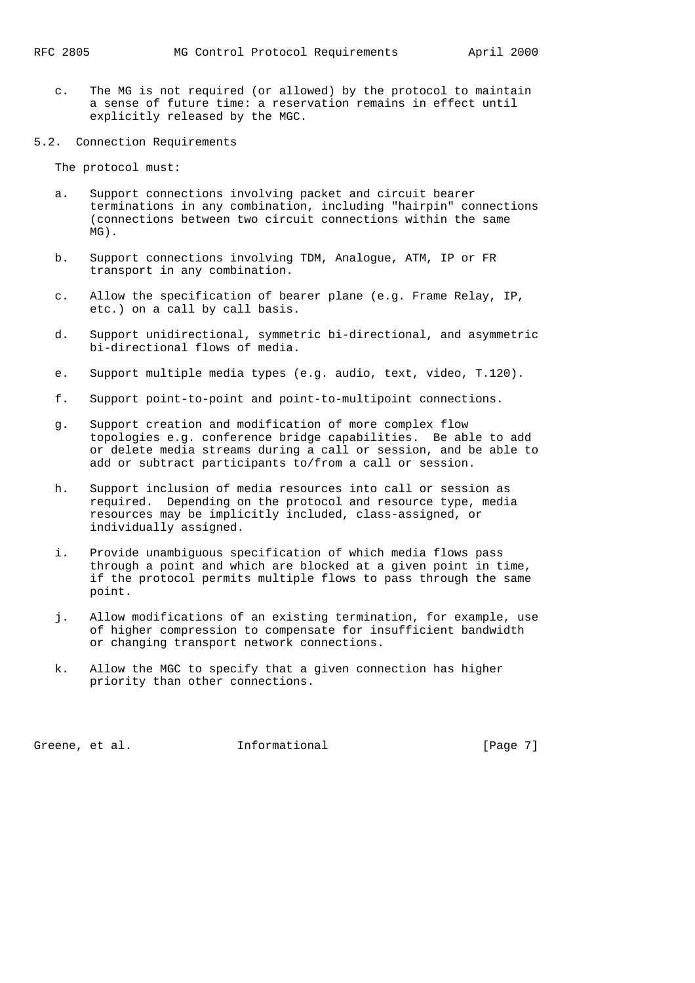- c. The MG is not required (or allowed) by the protocol to maintain a sense of future time: a reservation remains in effect until explicitly released by the MGC.
- 5.2. Connection Requirements

The protocol must:

- a. Support connections involving packet and circuit bearer terminations in any combination, including "hairpin" connections (connections between two circuit connections within the same MG).
- b. Support connections involving TDM, Analogue, ATM, IP or FR transport in any combination.
- c. Allow the specification of bearer plane (e.g. Frame Relay, IP, etc.) on a call by call basis.
- d. Support unidirectional, symmetric bi-directional, and asymmetric bi-directional flows of media.
- e. Support multiple media types (e.g. audio, text, video, T.120).
- f. Support point-to-point and point-to-multipoint connections.
- g. Support creation and modification of more complex flow topologies e.g. conference bridge capabilities. Be able to add or delete media streams during a call or session, and be able to add or subtract participants to/from a call or session.
- h. Support inclusion of media resources into call or session as required. Depending on the protocol and resource type, media resources may be implicitly included, class-assigned, or individually assigned.
- i. Provide unambiguous specification of which media flows pass through a point and which are blocked at a given point in time, if the protocol permits multiple flows to pass through the same point.
- j. Allow modifications of an existing termination, for example, use of higher compression to compensate for insufficient bandwidth or changing transport network connections.
- k. Allow the MGC to specify that a given connection has higher priority than other connections.

Greene, et al. 1nformational (Page 7)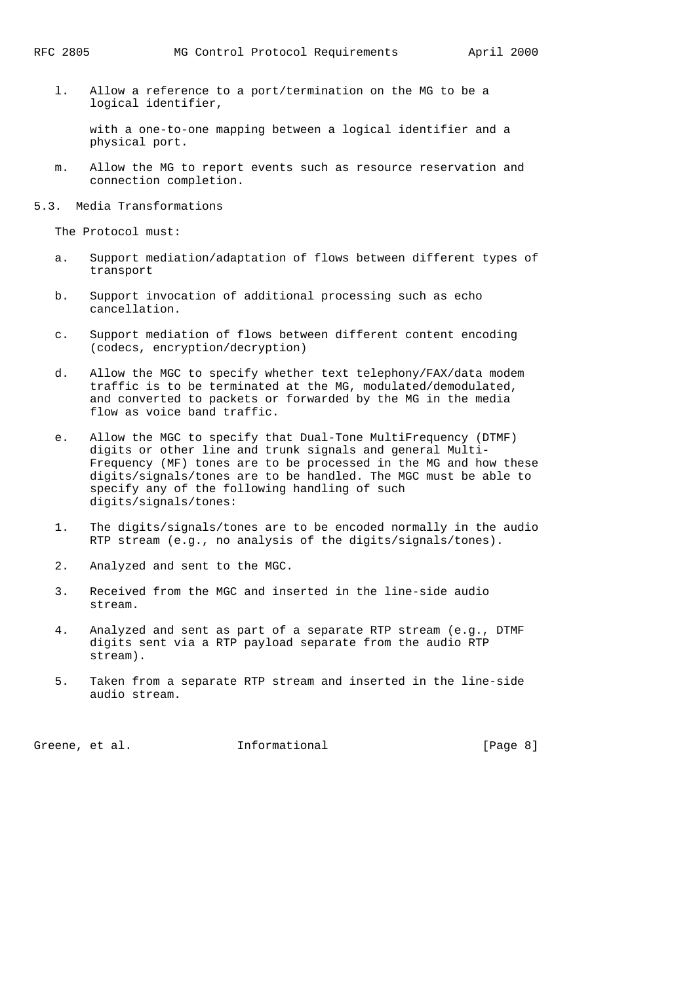l. Allow a reference to a port/termination on the MG to be a logical identifier,

 with a one-to-one mapping between a logical identifier and a physical port.

- m. Allow the MG to report events such as resource reservation and connection completion.
- 5.3. Media Transformations

The Protocol must:

- a. Support mediation/adaptation of flows between different types of transport
- b. Support invocation of additional processing such as echo cancellation.
- c. Support mediation of flows between different content encoding (codecs, encryption/decryption)
- d. Allow the MGC to specify whether text telephony/FAX/data modem traffic is to be terminated at the MG, modulated/demodulated, and converted to packets or forwarded by the MG in the media flow as voice band traffic.
- e. Allow the MGC to specify that Dual-Tone MultiFrequency (DTMF) digits or other line and trunk signals and general Multi- Frequency (MF) tones are to be processed in the MG and how these digits/signals/tones are to be handled. The MGC must be able to specify any of the following handling of such digits/signals/tones:
- 1. The digits/signals/tones are to be encoded normally in the audio RTP stream (e.g., no analysis of the digits/signals/tones).
- 2. Analyzed and sent to the MGC.
- 3. Received from the MGC and inserted in the line-side audio stream.
- 4. Analyzed and sent as part of a separate RTP stream (e.g., DTMF digits sent via a RTP payload separate from the audio RTP stream).
- 5. Taken from a separate RTP stream and inserted in the line-side audio stream.

Greene, et al. **Informational** [Page 8]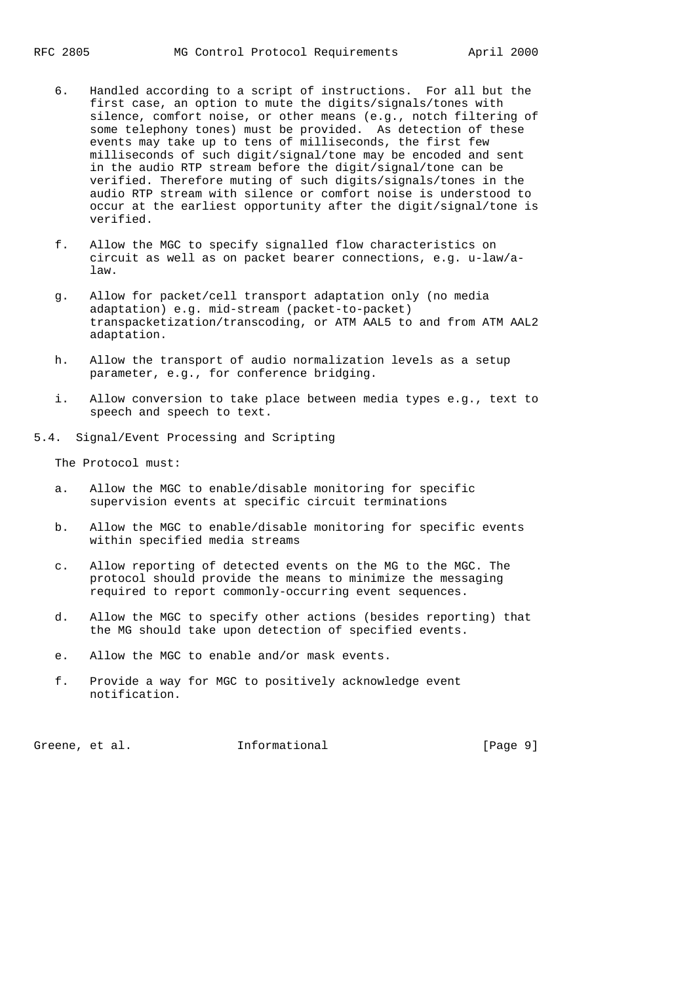- 6. Handled according to a script of instructions. For all but the first case, an option to mute the digits/signals/tones with silence, comfort noise, or other means (e.g., notch filtering of some telephony tones) must be provided. As detection of these events may take up to tens of milliseconds, the first few milliseconds of such digit/signal/tone may be encoded and sent in the audio RTP stream before the digit/signal/tone can be verified. Therefore muting of such digits/signals/tones in the audio RTP stream with silence or comfort noise is understood to occur at the earliest opportunity after the digit/signal/tone is verified.
- f. Allow the MGC to specify signalled flow characteristics on circuit as well as on packet bearer connections, e.g. u-law/a law.
- g. Allow for packet/cell transport adaptation only (no media adaptation) e.g. mid-stream (packet-to-packet) transpacketization/transcoding, or ATM AAL5 to and from ATM AAL2 adaptation.
- h. Allow the transport of audio normalization levels as a setup parameter, e.g., for conference bridging.
- i. Allow conversion to take place between media types e.g., text to speech and speech to text.
- 5.4. Signal/Event Processing and Scripting

The Protocol must:

- a. Allow the MGC to enable/disable monitoring for specific supervision events at specific circuit terminations
- b. Allow the MGC to enable/disable monitoring for specific events within specified media streams
- c. Allow reporting of detected events on the MG to the MGC. The protocol should provide the means to minimize the messaging required to report commonly-occurring event sequences.
- d. Allow the MGC to specify other actions (besides reporting) that the MG should take upon detection of specified events.
- e. Allow the MGC to enable and/or mask events.
- f. Provide a way for MGC to positively acknowledge event notification.

Greene, et al. **Informational** [Page 9]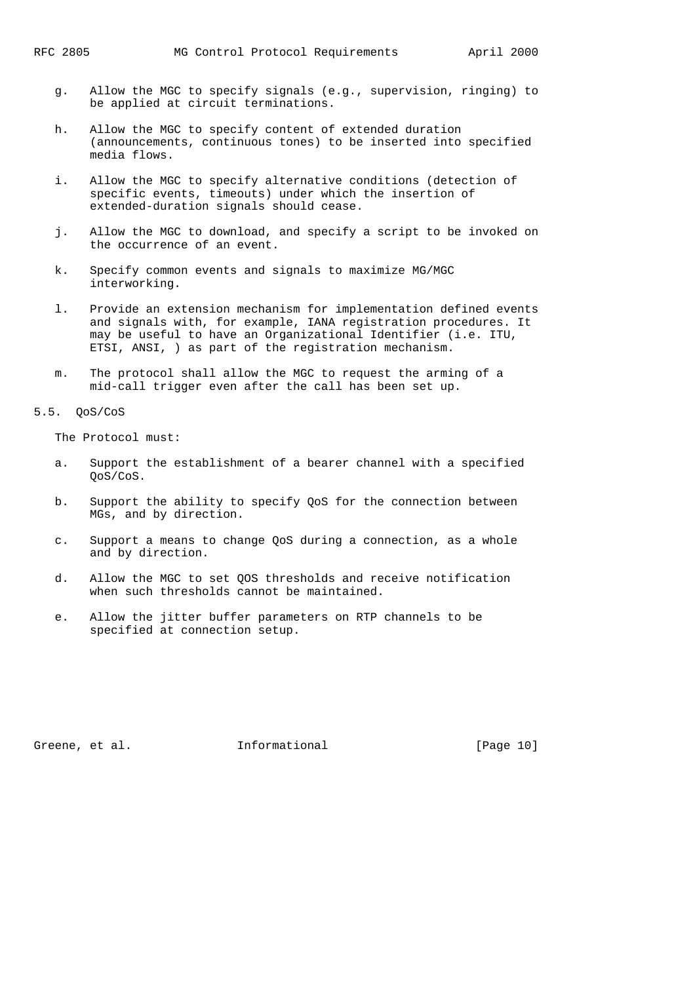- g. Allow the MGC to specify signals (e.g., supervision, ringing) to be applied at circuit terminations.
- h. Allow the MGC to specify content of extended duration (announcements, continuous tones) to be inserted into specified media flows.
- i. Allow the MGC to specify alternative conditions (detection of specific events, timeouts) under which the insertion of extended-duration signals should cease.
- j. Allow the MGC to download, and specify a script to be invoked on the occurrence of an event.
- k. Specify common events and signals to maximize MG/MGC interworking.
- l. Provide an extension mechanism for implementation defined events and signals with, for example, IANA registration procedures. It may be useful to have an Organizational Identifier (i.e. ITU, ETSI, ANSI, ) as part of the registration mechanism.
- m. The protocol shall allow the MGC to request the arming of a mid-call trigger even after the call has been set up.

#### 5.5. QoS/CoS

The Protocol must:

- a. Support the establishment of a bearer channel with a specified QoS/CoS.
- b. Support the ability to specify QoS for the connection between MGs, and by direction.
- c. Support a means to change QoS during a connection, as a whole and by direction.
- d. Allow the MGC to set QOS thresholds and receive notification when such thresholds cannot be maintained.
- e. Allow the jitter buffer parameters on RTP channels to be specified at connection setup.

Greene, et al. **Informational** [Page 10]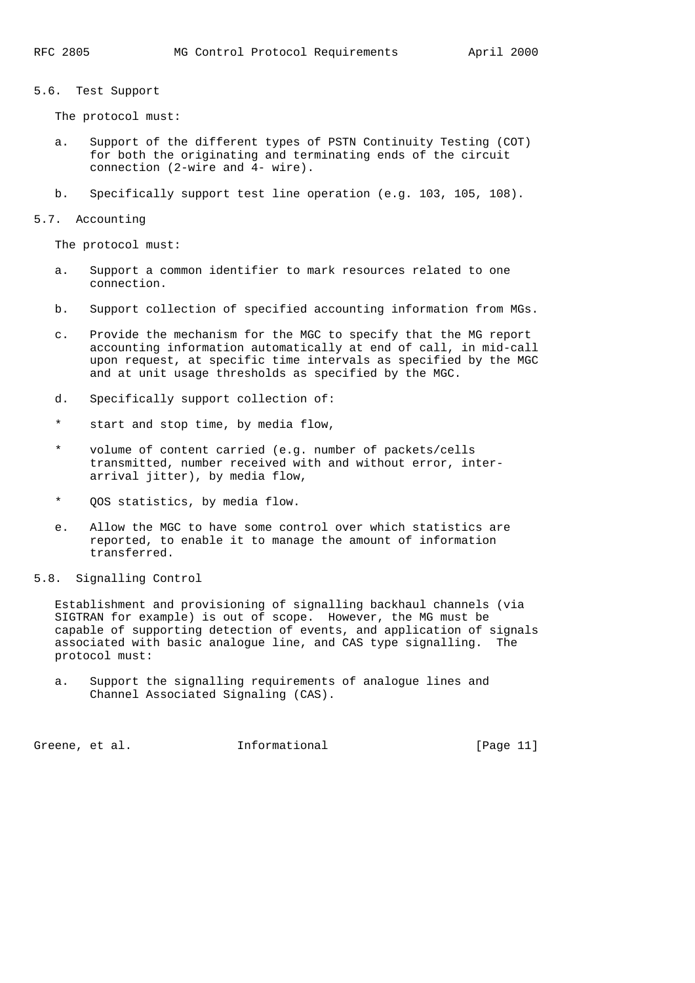5.6. Test Support

The protocol must:

- a. Support of the different types of PSTN Continuity Testing (COT) for both the originating and terminating ends of the circuit connection (2-wire and 4- wire).
- b. Specifically support test line operation (e.g. 103, 105, 108).
- 5.7. Accounting

The protocol must:

- a. Support a common identifier to mark resources related to one connection.
- b. Support collection of specified accounting information from MGs.
- c. Provide the mechanism for the MGC to specify that the MG report accounting information automatically at end of call, in mid-call upon request, at specific time intervals as specified by the MGC and at unit usage thresholds as specified by the MGC.
- d. Specifically support collection of:
- \* start and stop time, by media flow,
- \* volume of content carried (e.g. number of packets/cells transmitted, number received with and without error, inter arrival jitter), by media flow,
- \* QOS statistics, by media flow.
- e. Allow the MGC to have some control over which statistics are reported, to enable it to manage the amount of information transferred.
- 5.8. Signalling Control

 Establishment and provisioning of signalling backhaul channels (via SIGTRAN for example) is out of scope. However, the MG must be capable of supporting detection of events, and application of signals associated with basic analogue line, and CAS type signalling. The protocol must:

 a. Support the signalling requirements of analogue lines and Channel Associated Signaling (CAS).

Greene, et al. **Informational** [Page 11]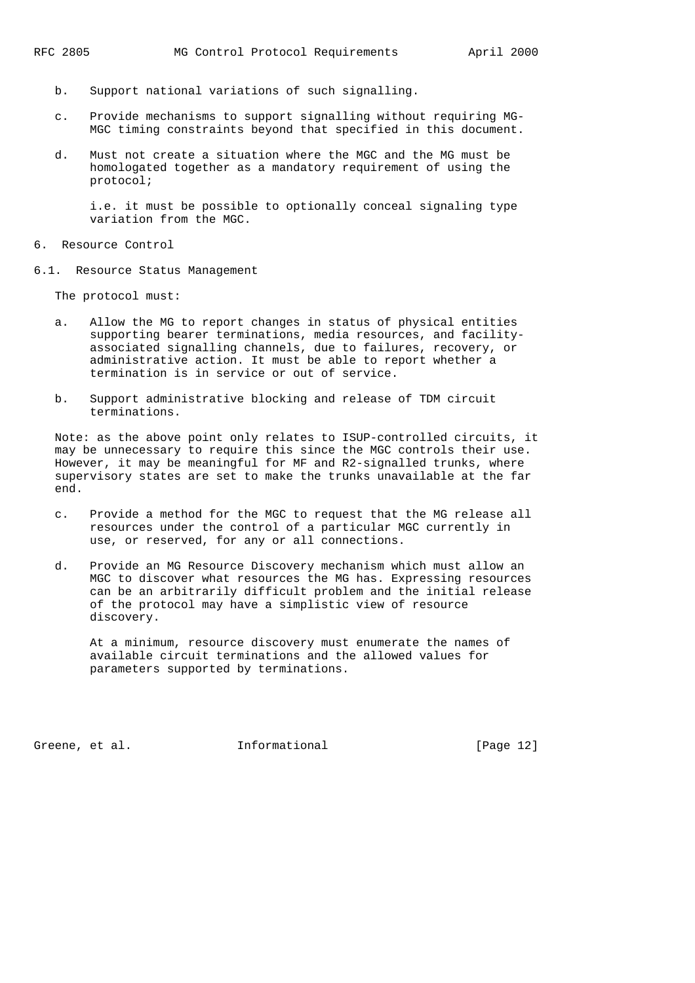- b. Support national variations of such signalling.
- c. Provide mechanisms to support signalling without requiring MG- MGC timing constraints beyond that specified in this document.
- d. Must not create a situation where the MGC and the MG must be homologated together as a mandatory requirement of using the protocol;

 i.e. it must be possible to optionally conceal signaling type variation from the MGC.

- 6. Resource Control
- 6.1. Resource Status Management

The protocol must:

- a. Allow the MG to report changes in status of physical entities supporting bearer terminations, media resources, and facility associated signalling channels, due to failures, recovery, or administrative action. It must be able to report whether a termination is in service or out of service.
- b. Support administrative blocking and release of TDM circuit terminations.

 Note: as the above point only relates to ISUP-controlled circuits, it may be unnecessary to require this since the MGC controls their use. However, it may be meaningful for MF and R2-signalled trunks, where supervisory states are set to make the trunks unavailable at the far end.

- c. Provide a method for the MGC to request that the MG release all resources under the control of a particular MGC currently in use, or reserved, for any or all connections.
- d. Provide an MG Resource Discovery mechanism which must allow an MGC to discover what resources the MG has. Expressing resources can be an arbitrarily difficult problem and the initial release of the protocol may have a simplistic view of resource discovery.

 At a minimum, resource discovery must enumerate the names of available circuit terminations and the allowed values for parameters supported by terminations.

Greene, et al. 1nformational [Page 12]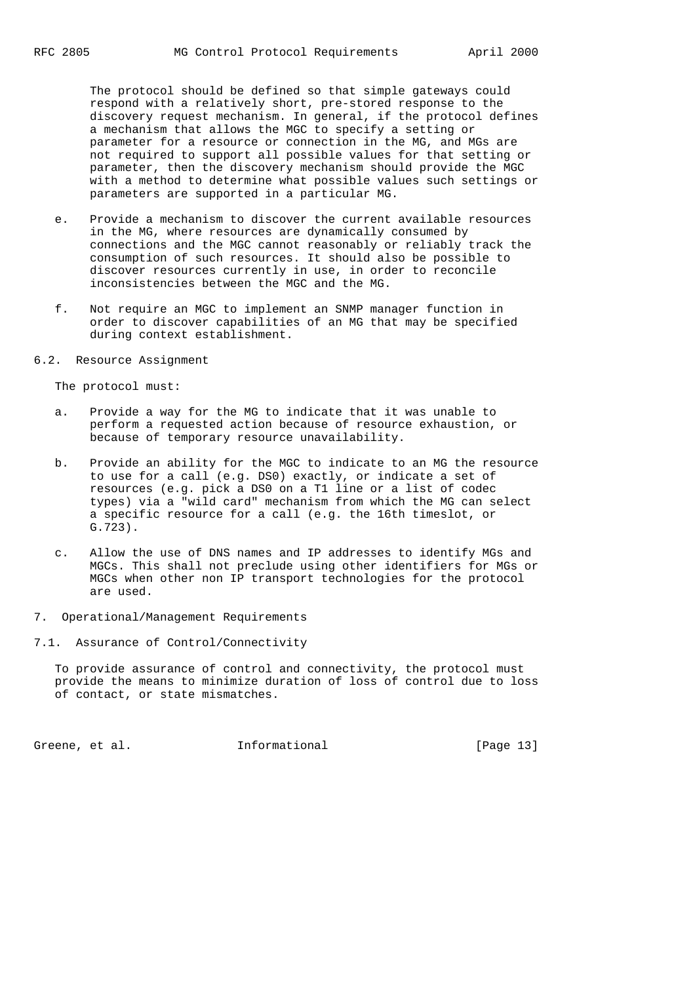The protocol should be defined so that simple gateways could respond with a relatively short, pre-stored response to the discovery request mechanism. In general, if the protocol defines a mechanism that allows the MGC to specify a setting or parameter for a resource or connection in the MG, and MGs are not required to support all possible values for that setting or parameter, then the discovery mechanism should provide the MGC with a method to determine what possible values such settings or parameters are supported in a particular MG.

- e. Provide a mechanism to discover the current available resources in the MG, where resources are dynamically consumed by connections and the MGC cannot reasonably or reliably track the consumption of such resources. It should also be possible to discover resources currently in use, in order to reconcile inconsistencies between the MGC and the MG.
- f. Not require an MGC to implement an SNMP manager function in order to discover capabilities of an MG that may be specified during context establishment.
- 6.2. Resource Assignment

The protocol must:

- a. Provide a way for the MG to indicate that it was unable to perform a requested action because of resource exhaustion, or because of temporary resource unavailability.
- b. Provide an ability for the MGC to indicate to an MG the resource to use for a call (e.g. DS0) exactly, or indicate a set of resources (e.g. pick a DS0 on a T1 line or a list of codec types) via a "wild card" mechanism from which the MG can select a specific resource for a call (e.g. the 16th timeslot, or G.723).
- c. Allow the use of DNS names and IP addresses to identify MGs and MGCs. This shall not preclude using other identifiers for MGs or MGCs when other non IP transport technologies for the protocol are used.
- 7. Operational/Management Requirements
- 7.1. Assurance of Control/Connectivity

 To provide assurance of control and connectivity, the protocol must provide the means to minimize duration of loss of control due to loss of contact, or state mismatches.

Greene, et al. **Informational** [Page 13]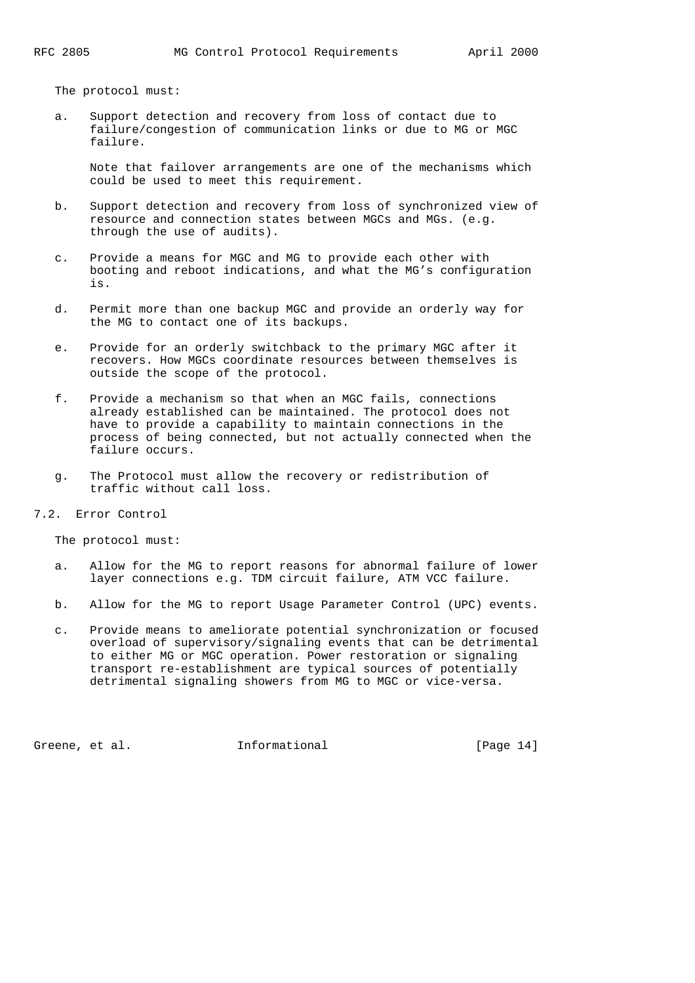The protocol must:

 a. Support detection and recovery from loss of contact due to failure/congestion of communication links or due to MG or MGC failure.

 Note that failover arrangements are one of the mechanisms which could be used to meet this requirement.

- b. Support detection and recovery from loss of synchronized view of resource and connection states between MGCs and MGs. (e.g. through the use of audits).
- c. Provide a means for MGC and MG to provide each other with booting and reboot indications, and what the MG's configuration is.
- d. Permit more than one backup MGC and provide an orderly way for the MG to contact one of its backups.
- e. Provide for an orderly switchback to the primary MGC after it recovers. How MGCs coordinate resources between themselves is outside the scope of the protocol.
- f. Provide a mechanism so that when an MGC fails, connections already established can be maintained. The protocol does not have to provide a capability to maintain connections in the process of being connected, but not actually connected when the failure occurs.
- g. The Protocol must allow the recovery or redistribution of traffic without call loss.
- 7.2. Error Control

The protocol must:

- a. Allow for the MG to report reasons for abnormal failure of lower layer connections e.g. TDM circuit failure, ATM VCC failure.
- b. Allow for the MG to report Usage Parameter Control (UPC) events.
- c. Provide means to ameliorate potential synchronization or focused overload of supervisory/signaling events that can be detrimental to either MG or MGC operation. Power restoration or signaling transport re-establishment are typical sources of potentially detrimental signaling showers from MG to MGC or vice-versa.

Greene, et al. 1nformational [Page 14]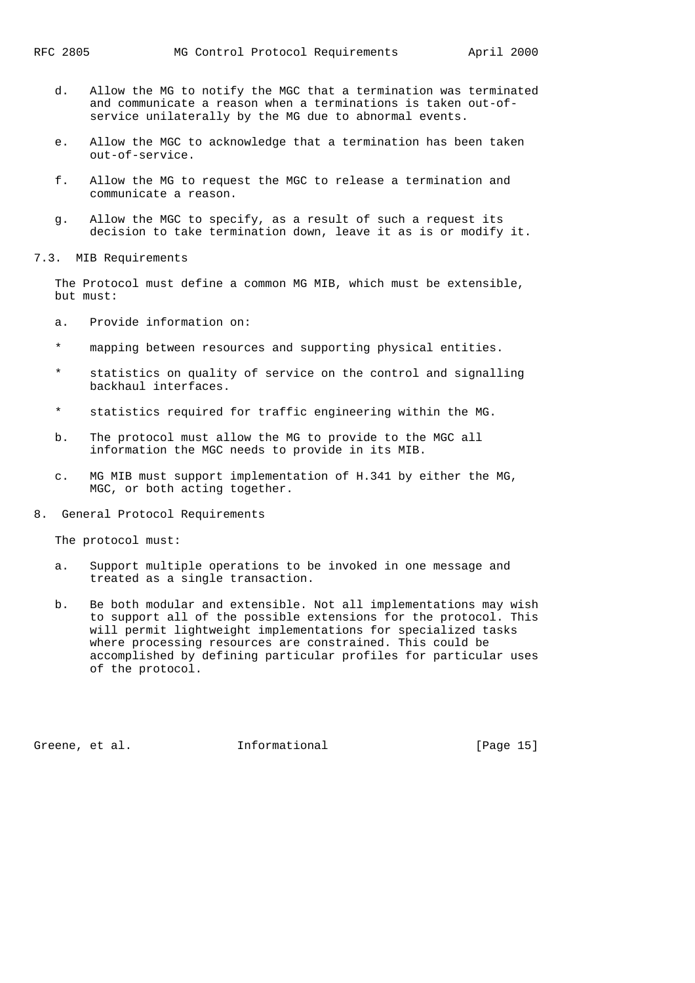- d. Allow the MG to notify the MGC that a termination was terminated and communicate a reason when a terminations is taken out-of service unilaterally by the MG due to abnormal events.
- e. Allow the MGC to acknowledge that a termination has been taken out-of-service.
- f. Allow the MG to request the MGC to release a termination and communicate a reason.
- g. Allow the MGC to specify, as a result of such a request its decision to take termination down, leave it as is or modify it.

7.3. MIB Requirements

 The Protocol must define a common MG MIB, which must be extensible, but must:

- a. Provide information on:
- \* mapping between resources and supporting physical entities.
- \* statistics on quality of service on the control and signalling backhaul interfaces.
- \* statistics required for traffic engineering within the MG.
- b. The protocol must allow the MG to provide to the MGC all information the MGC needs to provide in its MIB.
- c. MG MIB must support implementation of H.341 by either the MG, MGC, or both acting together.
- 8. General Protocol Requirements

The protocol must:

- a. Support multiple operations to be invoked in one message and treated as a single transaction.
- b. Be both modular and extensible. Not all implementations may wish to support all of the possible extensions for the protocol. This will permit lightweight implementations for specialized tasks where processing resources are constrained. This could be accomplished by defining particular profiles for particular uses of the protocol.

Greene, et al. 1nformational [Page 15]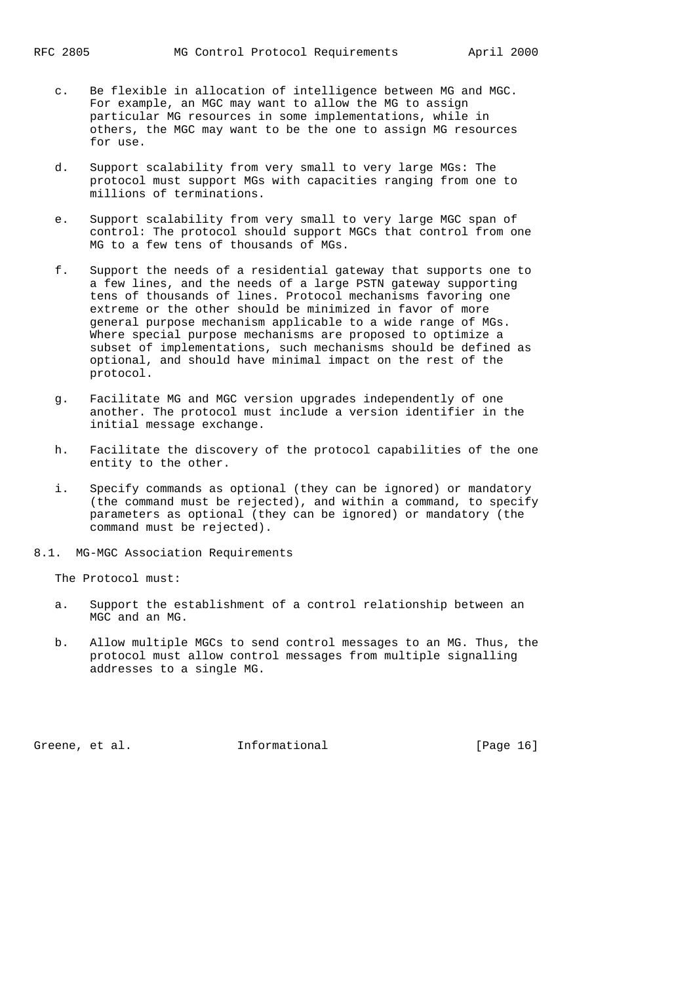- c. Be flexible in allocation of intelligence between MG and MGC. For example, an MGC may want to allow the MG to assign particular MG resources in some implementations, while in others, the MGC may want to be the one to assign MG resources for use.
- d. Support scalability from very small to very large MGs: The protocol must support MGs with capacities ranging from one to millions of terminations.
- e. Support scalability from very small to very large MGC span of control: The protocol should support MGCs that control from one MG to a few tens of thousands of MGs.
- f. Support the needs of a residential gateway that supports one to a few lines, and the needs of a large PSTN gateway supporting tens of thousands of lines. Protocol mechanisms favoring one extreme or the other should be minimized in favor of more general purpose mechanism applicable to a wide range of MGs. Where special purpose mechanisms are proposed to optimize a subset of implementations, such mechanisms should be defined as optional, and should have minimal impact on the rest of the protocol.
- g. Facilitate MG and MGC version upgrades independently of one another. The protocol must include a version identifier in the initial message exchange.
- h. Facilitate the discovery of the protocol capabilities of the one entity to the other.
- i. Specify commands as optional (they can be ignored) or mandatory (the command must be rejected), and within a command, to specify parameters as optional (they can be ignored) or mandatory (the command must be rejected).
- 8.1. MG-MGC Association Requirements

The Protocol must:

- a. Support the establishment of a control relationship between an MGC and an MG.
- b. Allow multiple MGCs to send control messages to an MG. Thus, the protocol must allow control messages from multiple signalling addresses to a single MG.

Greene, et al. 1nformational [Page 16]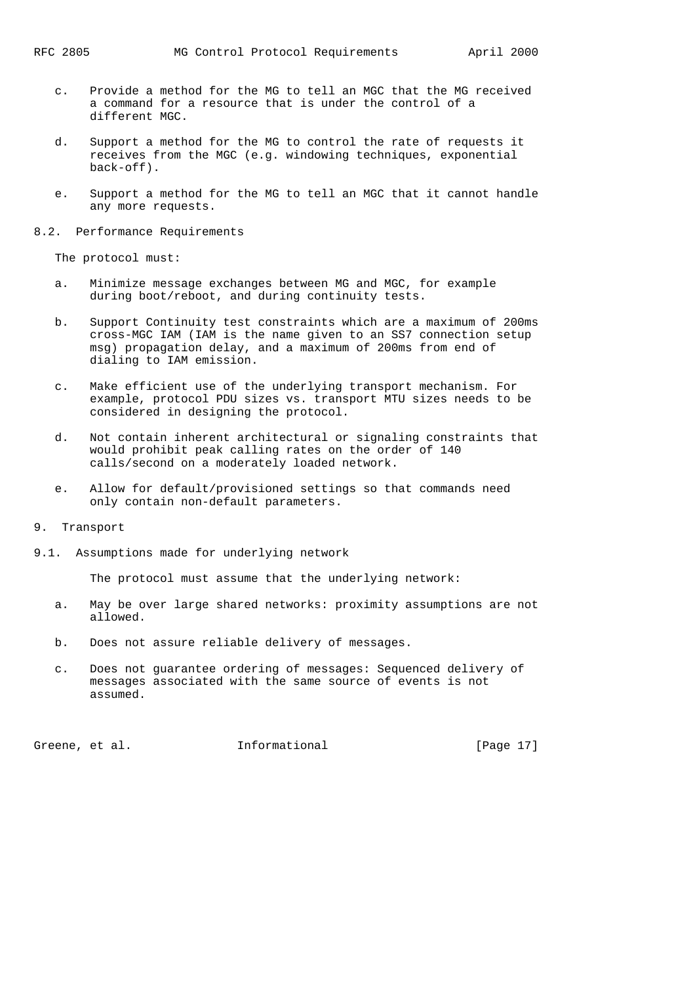- c. Provide a method for the MG to tell an MGC that the MG received a command for a resource that is under the control of a different MGC.
- d. Support a method for the MG to control the rate of requests it receives from the MGC (e.g. windowing techniques, exponential back-off).
- e. Support a method for the MG to tell an MGC that it cannot handle any more requests.

#### 8.2. Performance Requirements

The protocol must:

- a. Minimize message exchanges between MG and MGC, for example during boot/reboot, and during continuity tests.
- b. Support Continuity test constraints which are a maximum of 200ms cross-MGC IAM (IAM is the name given to an SS7 connection setup msg) propagation delay, and a maximum of 200ms from end of dialing to IAM emission.
- c. Make efficient use of the underlying transport mechanism. For example, protocol PDU sizes vs. transport MTU sizes needs to be considered in designing the protocol.
- d. Not contain inherent architectural or signaling constraints that would prohibit peak calling rates on the order of 140 calls/second on a moderately loaded network.
- e. Allow for default/provisioned settings so that commands need only contain non-default parameters.

#### 9. Transport

9.1. Assumptions made for underlying network

The protocol must assume that the underlying network:

- a. May be over large shared networks: proximity assumptions are not allowed.
- b. Does not assure reliable delivery of messages.
- c. Does not guarantee ordering of messages: Sequenced delivery of messages associated with the same source of events is not assumed.

Greene, et al. 1nformational 1999 [Page 17]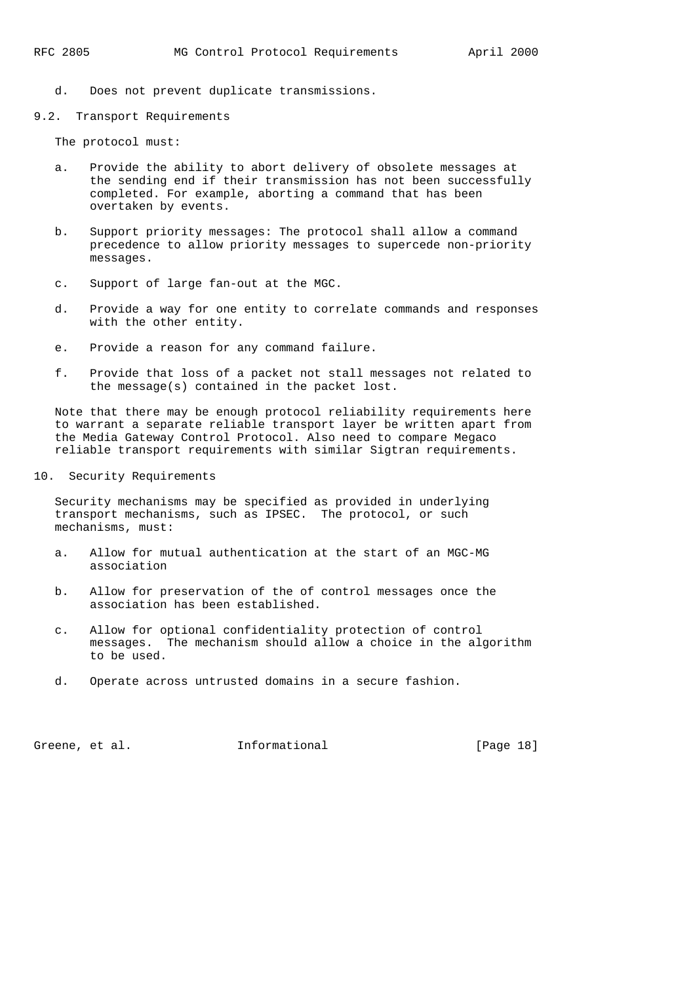- d. Does not prevent duplicate transmissions.
- 9.2. Transport Requirements

The protocol must:

- a. Provide the ability to abort delivery of obsolete messages at the sending end if their transmission has not been successfully completed. For example, aborting a command that has been overtaken by events.
- b. Support priority messages: The protocol shall allow a command precedence to allow priority messages to supercede non-priority messages.
- c. Support of large fan-out at the MGC.
- d. Provide a way for one entity to correlate commands and responses with the other entity.
- e. Provide a reason for any command failure.
- f. Provide that loss of a packet not stall messages not related to the message(s) contained in the packet lost.

 Note that there may be enough protocol reliability requirements here to warrant a separate reliable transport layer be written apart from the Media Gateway Control Protocol. Also need to compare Megaco reliable transport requirements with similar Sigtran requirements.

10. Security Requirements

 Security mechanisms may be specified as provided in underlying transport mechanisms, such as IPSEC. The protocol, or such mechanisms, must:

- a. Allow for mutual authentication at the start of an MGC-MG association
- b. Allow for preservation of the of control messages once the association has been established.
- c. Allow for optional confidentiality protection of control messages. The mechanism should allow a choice in the algorithm to be used.
- d. Operate across untrusted domains in a secure fashion.

Greene, et al. **Informational** [Page 18]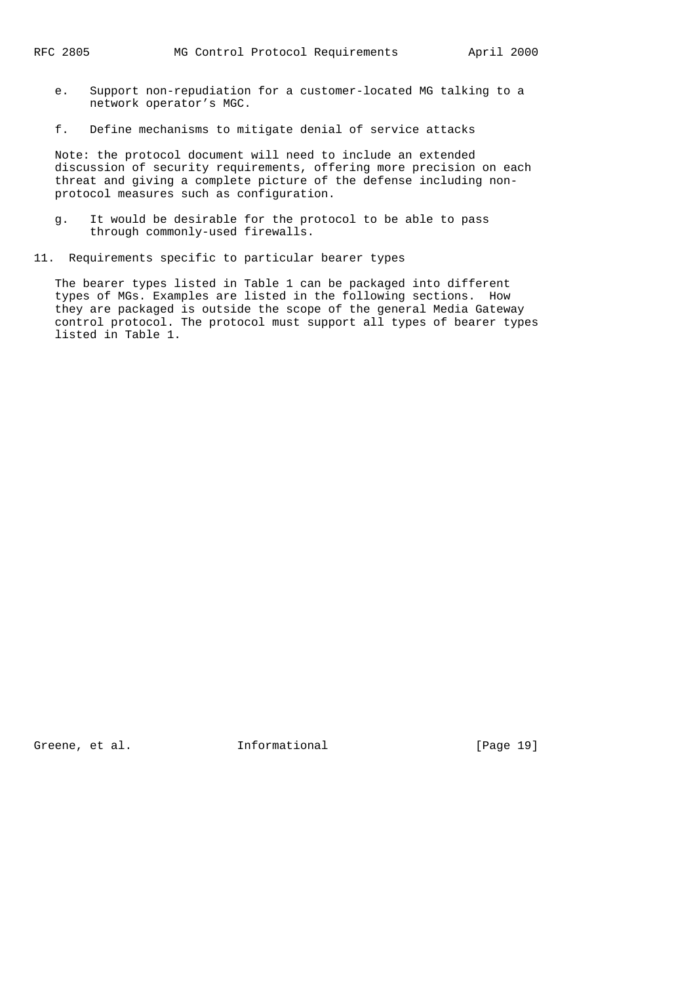- e. Support non-repudiation for a customer-located MG talking to a network operator's MGC.
- f. Define mechanisms to mitigate denial of service attacks

 Note: the protocol document will need to include an extended discussion of security requirements, offering more precision on each threat and giving a complete picture of the defense including non protocol measures such as configuration.

- g. It would be desirable for the protocol to be able to pass through commonly-used firewalls.
- 11. Requirements specific to particular bearer types

 The bearer types listed in Table 1 can be packaged into different types of MGs. Examples are listed in the following sections. How they are packaged is outside the scope of the general Media Gateway control protocol. The protocol must support all types of bearer types listed in Table 1.

Greene, et al. **Informational** [Page 19]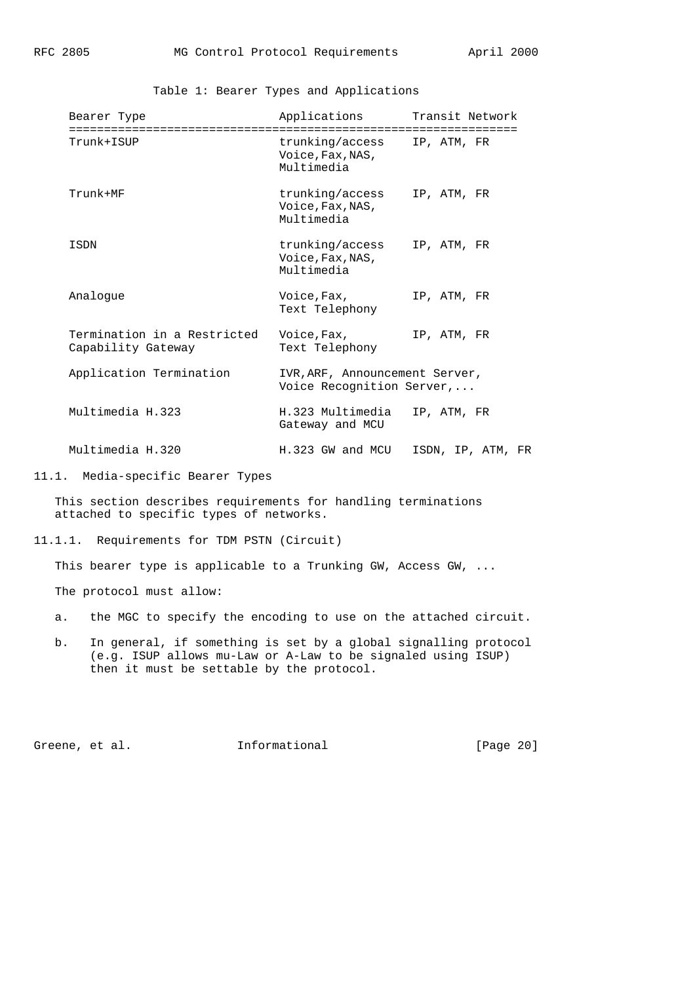Table 1: Bearer Types and Applications

| Bearer Type                                       | Applications Transit Network                                  |                   |
|---------------------------------------------------|---------------------------------------------------------------|-------------------|
| Trunk+ISUP                                        | trunking/access IP, ATM, FR<br>Voice, Fax, NAS,<br>Multimedia |                   |
| $Trunk+MF$                                        | trunking/access<br>Voice, Fax, NAS,<br>Multimedia             | IP, ATM, FR       |
| ISDN                                              | trunking/access<br>Voice, Fax, NAS,<br>Multimedia             | IP, ATM, FR       |
| Analogue                                          | Voice,Fax,<br>Text Telephony                                  | IP, ATM, FR       |
| Termination in a Restricted<br>Capability Gateway | Voice,Fax,<br>Text Telephony                                  | IP, ATM, FR       |
| Application Termination                           | IVR, ARF, Announcement Server,<br>Voice Recognition Server,   |                   |
| Multimedia H.323                                  | H.323 Multimedia<br>Gateway and MCU                           | IP, ATM, FR       |
| Multimedia H.320                                  | H.323 GW and MCU                                              | ISDN, IP, ATM, FR |

<sup>11.1.</sup> Media-specific Bearer Types

 This section describes requirements for handling terminations attached to specific types of networks.

11.1.1. Requirements for TDM PSTN (Circuit)

This bearer type is applicable to a Trunking GW, Access GW, ...

The protocol must allow:

- a. the MGC to specify the encoding to use on the attached circuit.
- b. In general, if something is set by a global signalling protocol (e.g. ISUP allows mu-Law or A-Law to be signaled using ISUP) then it must be settable by the protocol.

Greene, et al. 1nformational [Page 20]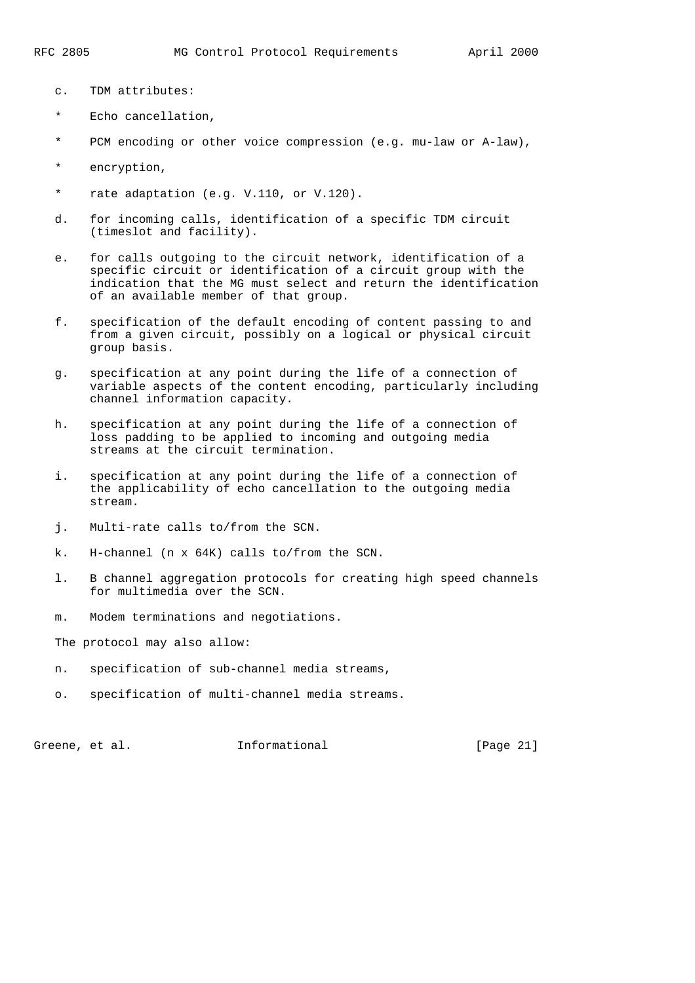- c. TDM attributes:
- \* Echo cancellation,
- \* PCM encoding or other voice compression (e.g. mu-law or A-law),
- \* encryption,
- \* rate adaptation (e.g. V.110, or V.120).
- d. for incoming calls, identification of a specific TDM circuit (timeslot and facility).
- e. for calls outgoing to the circuit network, identification of a specific circuit or identification of a circuit group with the indication that the MG must select and return the identification of an available member of that group.
- f. specification of the default encoding of content passing to and from a given circuit, possibly on a logical or physical circuit group basis.
- g. specification at any point during the life of a connection of variable aspects of the content encoding, particularly including channel information capacity.
- h. specification at any point during the life of a connection of loss padding to be applied to incoming and outgoing media streams at the circuit termination.
- i. specification at any point during the life of a connection of the applicability of echo cancellation to the outgoing media stream.
- j. Multi-rate calls to/from the SCN.
- k. H-channel (n x 64K) calls to/from the SCN.
- l. B channel aggregation protocols for creating high speed channels for multimedia over the SCN.
- m. Modem terminations and negotiations.

The protocol may also allow:

- n. specification of sub-channel media streams,
- o. specification of multi-channel media streams.

Greene, et al. **Informational** [Page 21]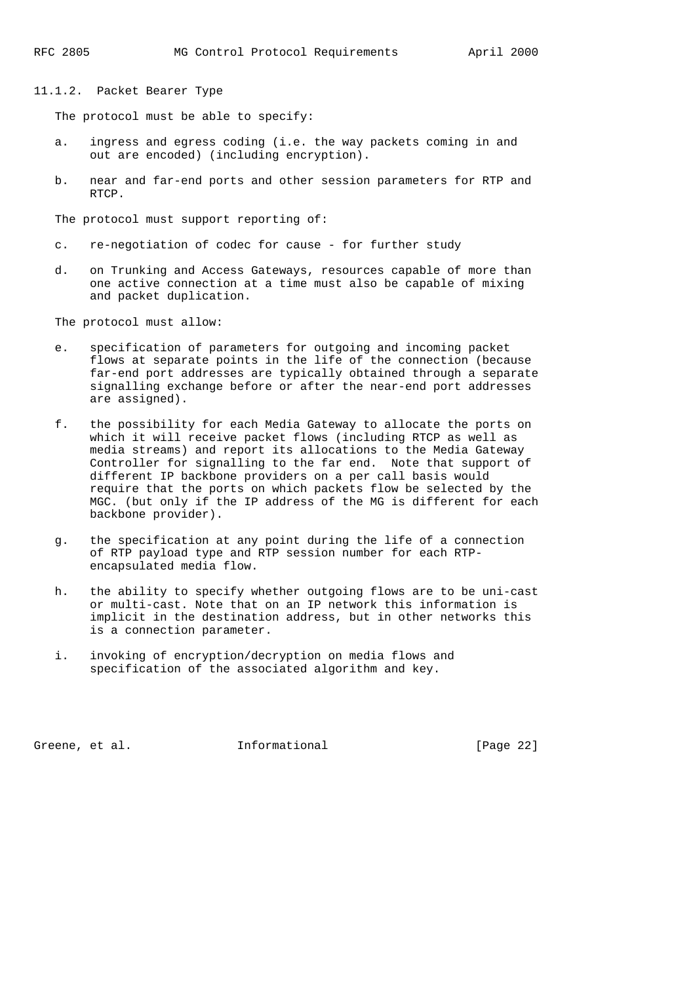11.1.2. Packet Bearer Type

The protocol must be able to specify:

- a. ingress and egress coding (i.e. the way packets coming in and out are encoded) (including encryption).
- b. near and far-end ports and other session parameters for RTP and RTCP.

The protocol must support reporting of:

- c. re-negotiation of codec for cause for further study
- d. on Trunking and Access Gateways, resources capable of more than one active connection at a time must also be capable of mixing and packet duplication.

The protocol must allow:

- e. specification of parameters for outgoing and incoming packet flows at separate points in the life of the connection (because far-end port addresses are typically obtained through a separate signalling exchange before or after the near-end port addresses are assigned).
- f. the possibility for each Media Gateway to allocate the ports on which it will receive packet flows (including RTCP as well as media streams) and report its allocations to the Media Gateway Controller for signalling to the far end. Note that support of different IP backbone providers on a per call basis would require that the ports on which packets flow be selected by the MGC. (but only if the IP address of the MG is different for each backbone provider).
- g. the specification at any point during the life of a connection of RTP payload type and RTP session number for each RTP encapsulated media flow.
- h. the ability to specify whether outgoing flows are to be uni-cast or multi-cast. Note that on an IP network this information is implicit in the destination address, but in other networks this is a connection parameter.
- i. invoking of encryption/decryption on media flows and specification of the associated algorithm and key.

Greene, et al. 1nformational 1999 [Page 22]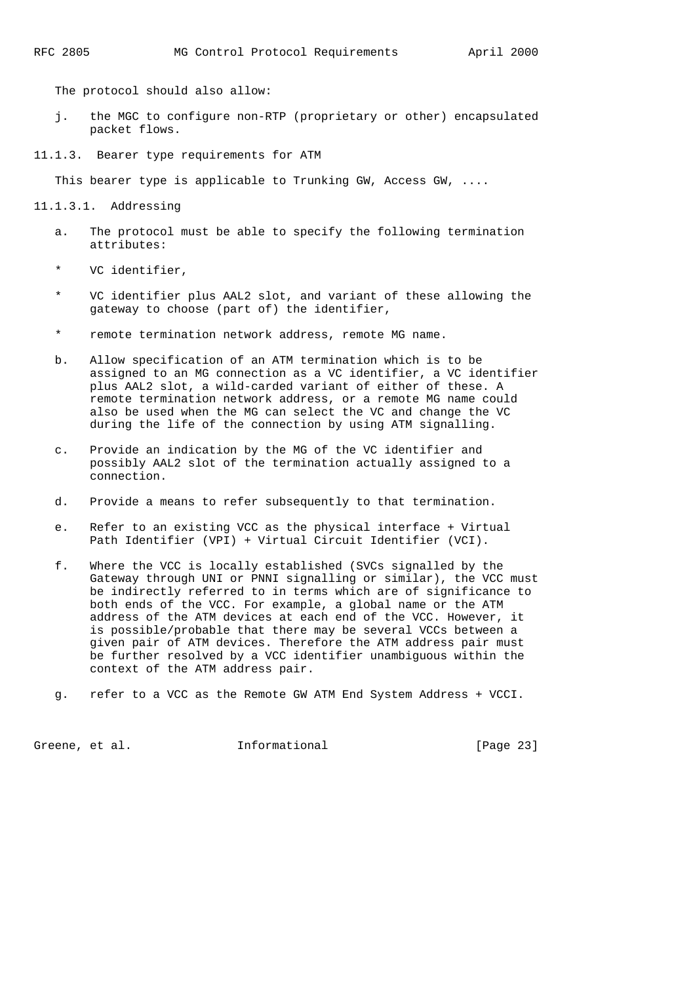The protocol should also allow:

 j. the MGC to configure non-RTP (proprietary or other) encapsulated packet flows.

11.1.3. Bearer type requirements for ATM

This bearer type is applicable to Trunking GW, Access GW, ....

11.1.3.1. Addressing

- a. The protocol must be able to specify the following termination attributes:
- \* VC identifier,
- \* VC identifier plus AAL2 slot, and variant of these allowing the gateway to choose (part of) the identifier,
- \* remote termination network address, remote MG name.
- b. Allow specification of an ATM termination which is to be assigned to an MG connection as a VC identifier, a VC identifier plus AAL2 slot, a wild-carded variant of either of these. A remote termination network address, or a remote MG name could also be used when the MG can select the VC and change the VC during the life of the connection by using ATM signalling.
- c. Provide an indication by the MG of the VC identifier and possibly AAL2 slot of the termination actually assigned to a connection.
- d. Provide a means to refer subsequently to that termination.
- e. Refer to an existing VCC as the physical interface + Virtual Path Identifier (VPI) + Virtual Circuit Identifier (VCI).
- f. Where the VCC is locally established (SVCs signalled by the Gateway through UNI or PNNI signalling or similar), the VCC must be indirectly referred to in terms which are of significance to both ends of the VCC. For example, a global name or the ATM address of the ATM devices at each end of the VCC. However, it is possible/probable that there may be several VCCs between a given pair of ATM devices. Therefore the ATM address pair must be further resolved by a VCC identifier unambiguous within the context of the ATM address pair.
- g. refer to a VCC as the Remote GW ATM End System Address + VCCI.

Greene, et al. **Informational** [Page 23]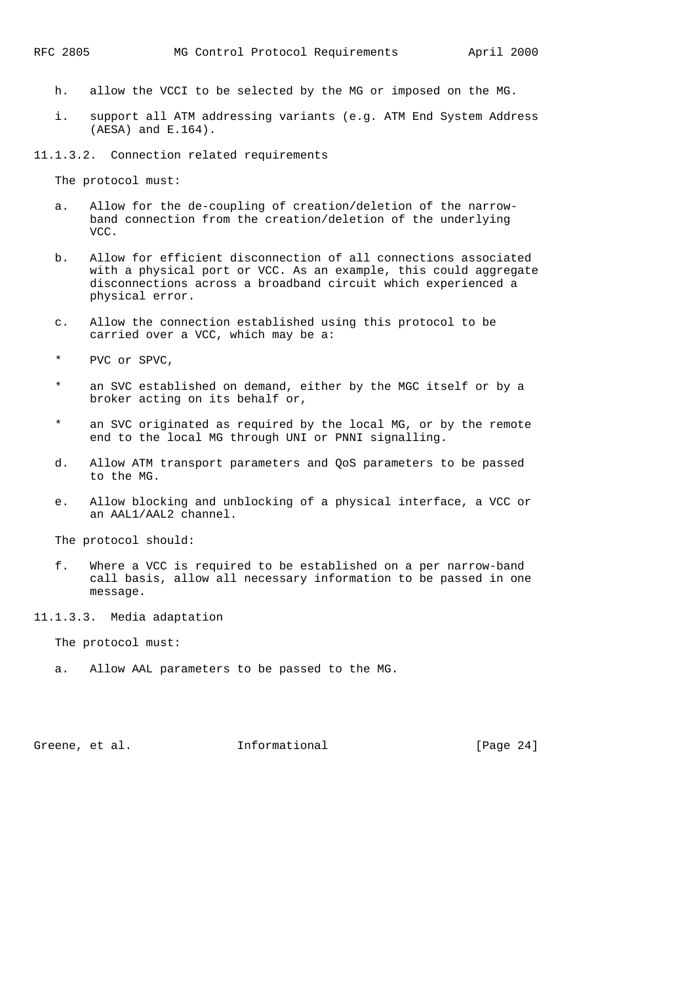- h. allow the VCCI to be selected by the MG or imposed on the MG.
- i. support all ATM addressing variants (e.g. ATM End System Address (AESA) and E.164).

11.1.3.2. Connection related requirements

The protocol must:

- a. Allow for the de-coupling of creation/deletion of the narrow band connection from the creation/deletion of the underlying VCC.
- b. Allow for efficient disconnection of all connections associated with a physical port or VCC. As an example, this could aggregate disconnections across a broadband circuit which experienced a physical error.
- c. Allow the connection established using this protocol to be carried over a VCC, which may be a:
- \* PVC or SPVC,
- an SVC established on demand, either by the MGC itself or by a broker acting on its behalf or,
- \* an SVC originated as required by the local MG, or by the remote end to the local MG through UNI or PNNI signalling.
- d. Allow ATM transport parameters and QoS parameters to be passed to the MG.
- e. Allow blocking and unblocking of a physical interface, a VCC or an AAL1/AAL2 channel.

The protocol should:

- f. Where a VCC is required to be established on a per narrow-band call basis, allow all necessary information to be passed in one message.
- 11.1.3.3. Media adaptation

The protocol must:

a. Allow AAL parameters to be passed to the MG.

Greene, et al. 1nformational [Page 24]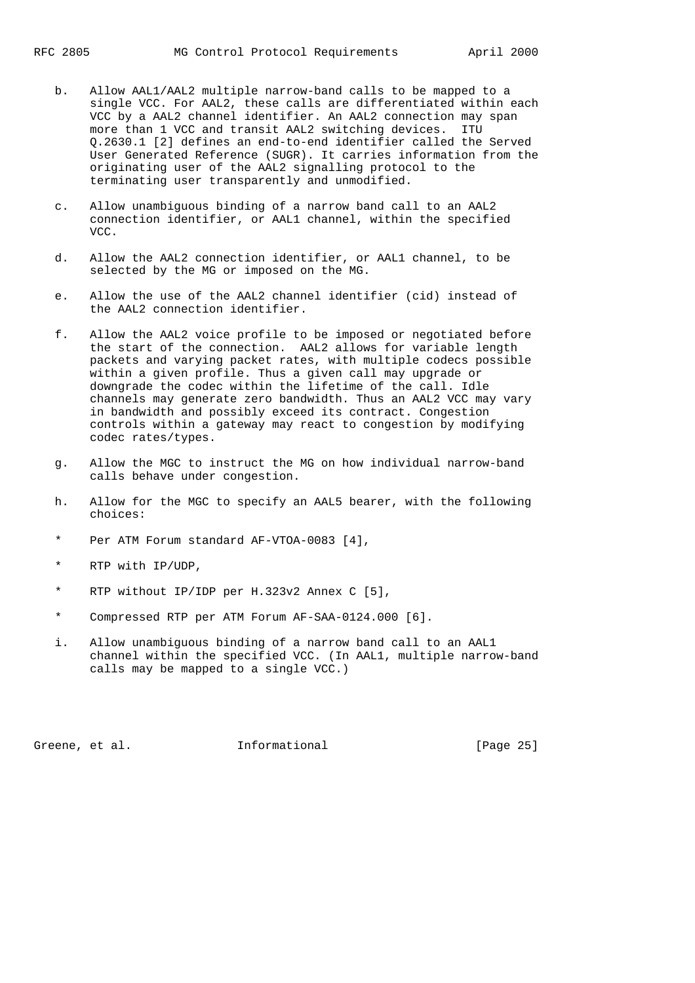- b. Allow AAL1/AAL2 multiple narrow-band calls to be mapped to a single VCC. For AAL2, these calls are differentiated within each VCC by a AAL2 channel identifier. An AAL2 connection may span more than 1 VCC and transit AAL2 switching devices. ITU Q.2630.1 [2] defines an end-to-end identifier called the Served User Generated Reference (SUGR). It carries information from the originating user of the AAL2 signalling protocol to the terminating user transparently and unmodified.
- c. Allow unambiguous binding of a narrow band call to an AAL2 connection identifier, or AAL1 channel, within the specified VCC.
- d. Allow the AAL2 connection identifier, or AAL1 channel, to be selected by the MG or imposed on the MG.
- e. Allow the use of the AAL2 channel identifier (cid) instead of the AAL2 connection identifier.
- f. Allow the AAL2 voice profile to be imposed or negotiated before the start of the connection. AAL2 allows for variable length packets and varying packet rates, with multiple codecs possible within a given profile. Thus a given call may upgrade or downgrade the codec within the lifetime of the call. Idle channels may generate zero bandwidth. Thus an AAL2 VCC may vary in bandwidth and possibly exceed its contract. Congestion controls within a gateway may react to congestion by modifying codec rates/types.
- g. Allow the MGC to instruct the MG on how individual narrow-band calls behave under congestion.
- h. Allow for the MGC to specify an AAL5 bearer, with the following choices:
- \* Per ATM Forum standard AF-VTOA-0083 [4],
- \* RTP with IP/UDP,
- \* RTP without IP/IDP per H.323v2 Annex C [5],
- \* Compressed RTP per ATM Forum AF-SAA-0124.000 [6].
- i. Allow unambiguous binding of a narrow band call to an AAL1 channel within the specified VCC. (In AAL1, multiple narrow-band calls may be mapped to a single VCC.)

Greene, et al. 1nformational [Page 25]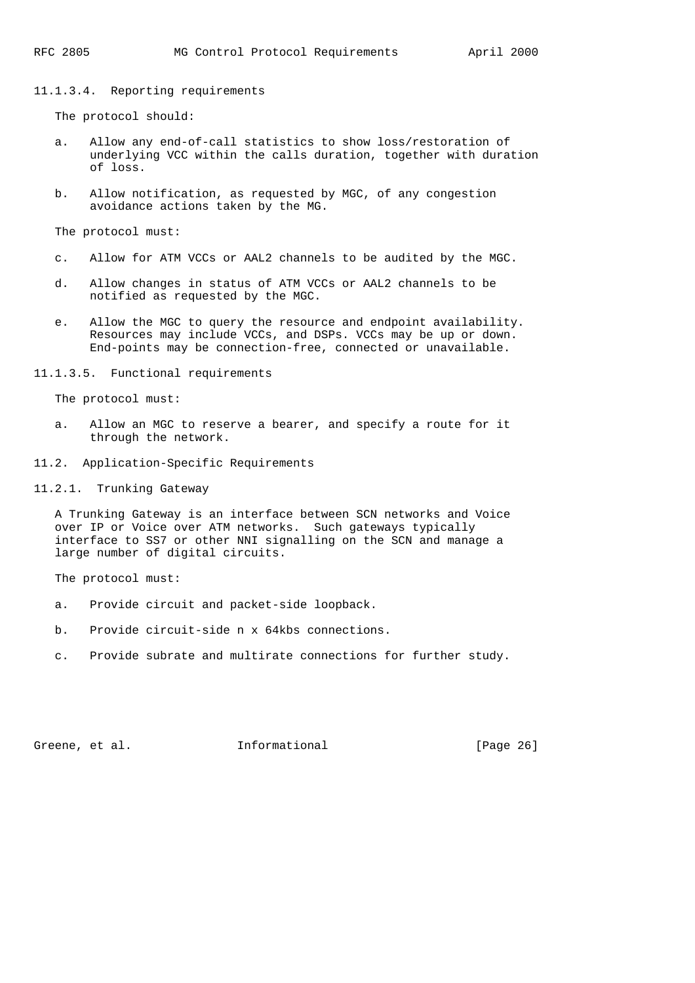#### 11.1.3.4. Reporting requirements

The protocol should:

- a. Allow any end-of-call statistics to show loss/restoration of underlying VCC within the calls duration, together with duration of loss.
- b. Allow notification, as requested by MGC, of any congestion avoidance actions taken by the MG.

The protocol must:

- c. Allow for ATM VCCs or AAL2 channels to be audited by the MGC.
- d. Allow changes in status of ATM VCCs or AAL2 channels to be notified as requested by the MGC.
- e. Allow the MGC to query the resource and endpoint availability. Resources may include VCCs, and DSPs. VCCs may be up or down. End-points may be connection-free, connected or unavailable.

11.1.3.5. Functional requirements

The protocol must:

- a. Allow an MGC to reserve a bearer, and specify a route for it through the network.
- 11.2. Application-Specific Requirements
- 11.2.1. Trunking Gateway

 A Trunking Gateway is an interface between SCN networks and Voice over IP or Voice over ATM networks. Such gateways typically interface to SS7 or other NNI signalling on the SCN and manage a large number of digital circuits.

The protocol must:

- a. Provide circuit and packet-side loopback.
- b. Provide circuit-side n x 64kbs connections.
- c. Provide subrate and multirate connections for further study.

Greene, et al. 1nformational [Page 26]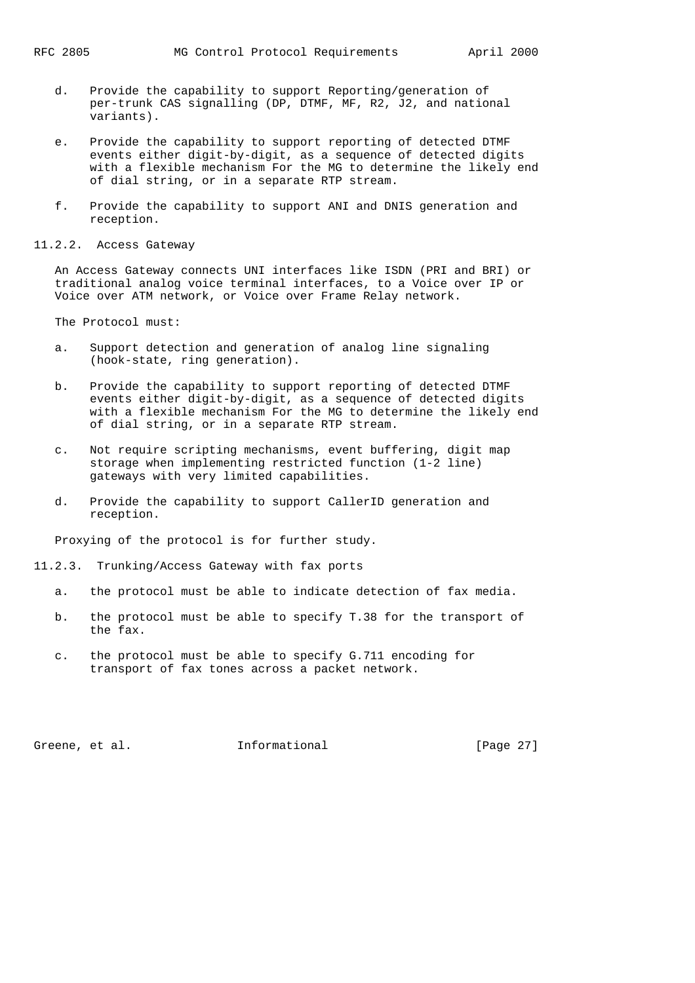- d. Provide the capability to support Reporting/generation of per-trunk CAS signalling (DP, DTMF, MF, R2, J2, and national variants).
- e. Provide the capability to support reporting of detected DTMF events either digit-by-digit, as a sequence of detected digits with a flexible mechanism For the MG to determine the likely end of dial string, or in a separate RTP stream.
- f. Provide the capability to support ANI and DNIS generation and reception.
- 11.2.2. Access Gateway

 An Access Gateway connects UNI interfaces like ISDN (PRI and BRI) or traditional analog voice terminal interfaces, to a Voice over IP or Voice over ATM network, or Voice over Frame Relay network.

The Protocol must:

- a. Support detection and generation of analog line signaling (hook-state, ring generation).
- b. Provide the capability to support reporting of detected DTMF events either digit-by-digit, as a sequence of detected digits with a flexible mechanism For the MG to determine the likely end of dial string, or in a separate RTP stream.
- c. Not require scripting mechanisms, event buffering, digit map storage when implementing restricted function (1-2 line) gateways with very limited capabilities.
- d. Provide the capability to support CallerID generation and reception.

Proxying of the protocol is for further study.

- 11.2.3. Trunking/Access Gateway with fax ports
	- a. the protocol must be able to indicate detection of fax media.
	- b. the protocol must be able to specify T.38 for the transport of the fax.
	- c. the protocol must be able to specify G.711 encoding for transport of fax tones across a packet network.

Greene, et al. **Informational** [Page 27]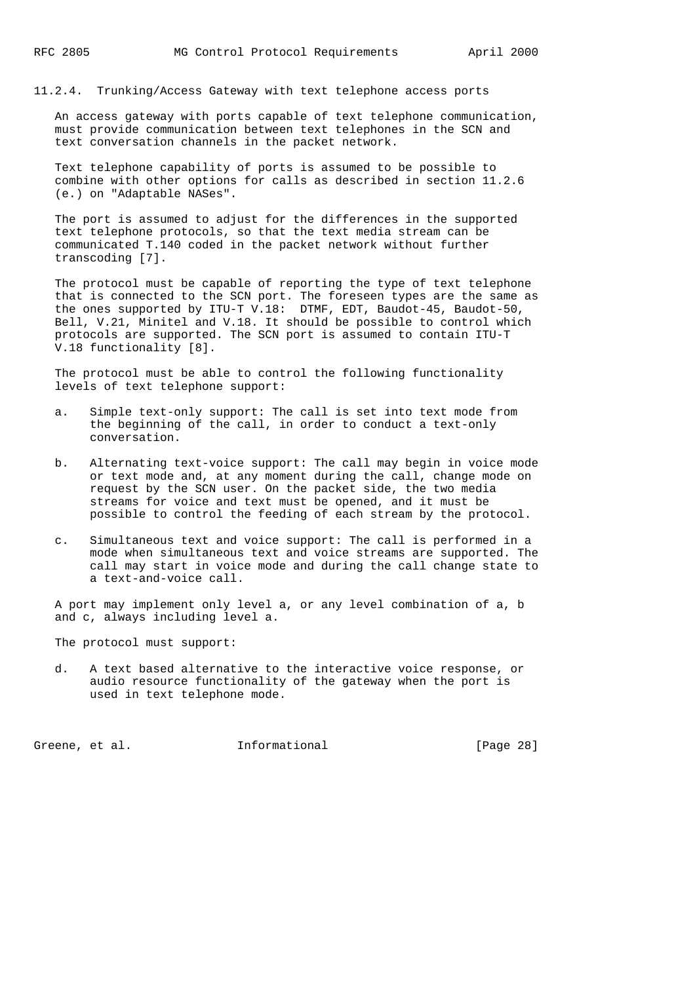11.2.4. Trunking/Access Gateway with text telephone access ports

 An access gateway with ports capable of text telephone communication, must provide communication between text telephones in the SCN and text conversation channels in the packet network.

 Text telephone capability of ports is assumed to be possible to combine with other options for calls as described in section 11.2.6 (e.) on "Adaptable NASes".

 The port is assumed to adjust for the differences in the supported text telephone protocols, so that the text media stream can be communicated T.140 coded in the packet network without further transcoding [7].

 The protocol must be capable of reporting the type of text telephone that is connected to the SCN port. The foreseen types are the same as the ones supported by ITU-T V.18: DTMF, EDT, Baudot-45, Baudot-50, Bell, V.21, Minitel and V.18. It should be possible to control which protocols are supported. The SCN port is assumed to contain ITU-T V.18 functionality [8].

 The protocol must be able to control the following functionality levels of text telephone support:

- a. Simple text-only support: The call is set into text mode from the beginning of the call, in order to conduct a text-only conversation.
- b. Alternating text-voice support: The call may begin in voice mode or text mode and, at any moment during the call, change mode on request by the SCN user. On the packet side, the two media streams for voice and text must be opened, and it must be possible to control the feeding of each stream by the protocol.
- c. Simultaneous text and voice support: The call is performed in a mode when simultaneous text and voice streams are supported. The call may start in voice mode and during the call change state to a text-and-voice call.

 A port may implement only level a, or any level combination of a, b and c, always including level a.

The protocol must support:

 d. A text based alternative to the interactive voice response, or audio resource functionality of the gateway when the port is used in text telephone mode.

Greene, et al. 1nformational [Page 28]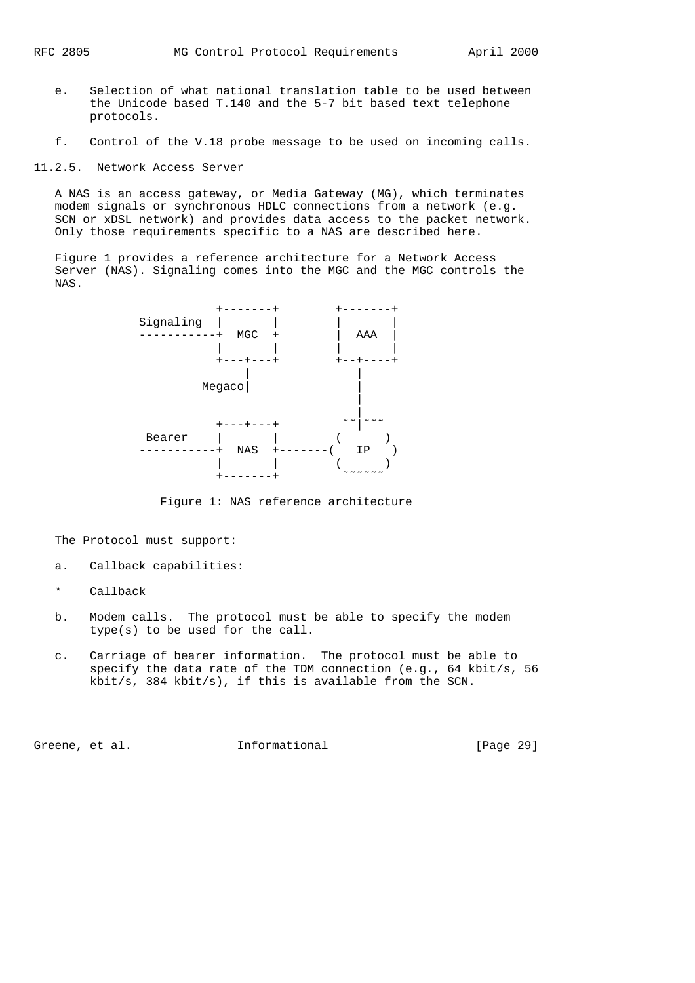- e. Selection of what national translation table to be used between the Unicode based T.140 and the 5-7 bit based text telephone protocols.
- f. Control of the V.18 probe message to be used on incoming calls.
- 11.2.5. Network Access Server

 A NAS is an access gateway, or Media Gateway (MG), which terminates modem signals or synchronous HDLC connections from a network (e.g. SCN or xDSL network) and provides data access to the packet network. Only those requirements specific to a NAS are described here.

 Figure 1 provides a reference architecture for a Network Access Server (NAS). Signaling comes into the MGC and the MGC controls the NAS.



Figure 1: NAS reference architecture

The Protocol must support:

- a. Callback capabilities:
- \* Callback
- b. Modem calls. The protocol must be able to specify the modem type(s) to be used for the call.
- c. Carriage of bearer information. The protocol must be able to specify the data rate of the TDM connection (e.g., 64 kbit/s, 56 kbit/s, 384 kbit/s), if this is available from the SCN.

Greene, et al. 1nformational [Page 29]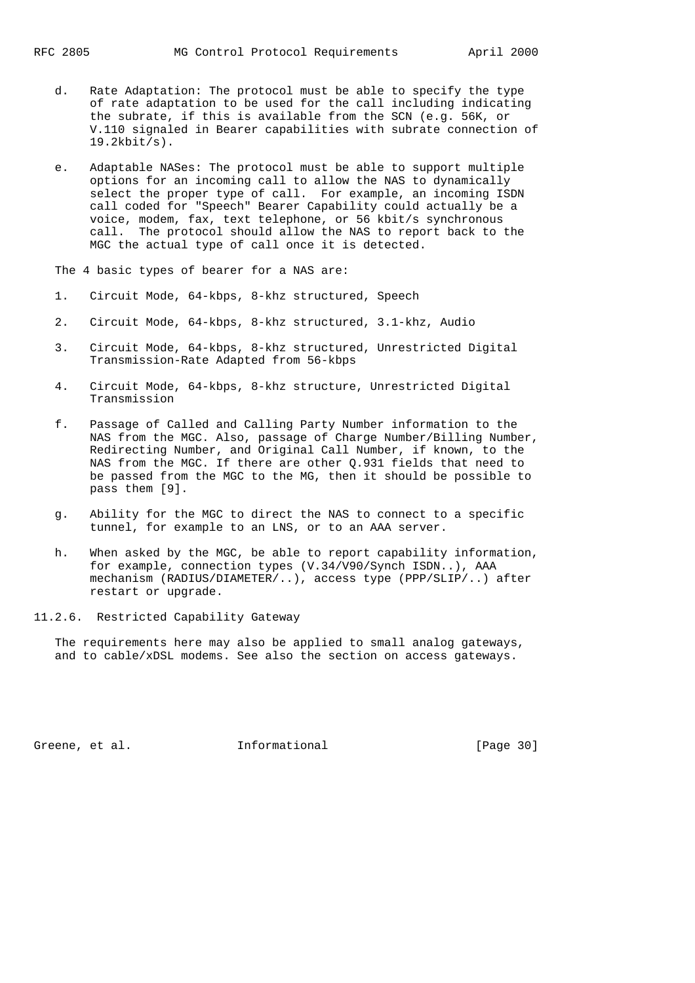- d. Rate Adaptation: The protocol must be able to specify the type of rate adaptation to be used for the call including indicating the subrate, if this is available from the SCN (e.g. 56K, or V.110 signaled in Bearer capabilities with subrate connection of 19.2kbit/s).
- e. Adaptable NASes: The protocol must be able to support multiple options for an incoming call to allow the NAS to dynamically select the proper type of call. For example, an incoming ISDN call coded for "Speech" Bearer Capability could actually be a voice, modem, fax, text telephone, or 56 kbit/s synchronous call. The protocol should allow the NAS to report back to the MGC the actual type of call once it is detected.

The 4 basic types of bearer for a NAS are:

- 1. Circuit Mode, 64-kbps, 8-khz structured, Speech
- 2. Circuit Mode, 64-kbps, 8-khz structured, 3.1-khz, Audio
- 3. Circuit Mode, 64-kbps, 8-khz structured, Unrestricted Digital Transmission-Rate Adapted from 56-kbps
- 4. Circuit Mode, 64-kbps, 8-khz structure, Unrestricted Digital Transmission
- f. Passage of Called and Calling Party Number information to the NAS from the MGC. Also, passage of Charge Number/Billing Number, Redirecting Number, and Original Call Number, if known, to the NAS from the MGC. If there are other Q.931 fields that need to be passed from the MGC to the MG, then it should be possible to pass them [9].
- g. Ability for the MGC to direct the NAS to connect to a specific tunnel, for example to an LNS, or to an AAA server.
- h. When asked by the MGC, be able to report capability information, for example, connection types (V.34/V90/Synch ISDN..), AAA mechanism (RADIUS/DIAMETER/..), access type (PPP/SLIP/..) after restart or upgrade.

11.2.6. Restricted Capability Gateway

 The requirements here may also be applied to small analog gateways, and to cable/xDSL modems. See also the section on access gateways.

Greene, et al. 1nformational [Page 30]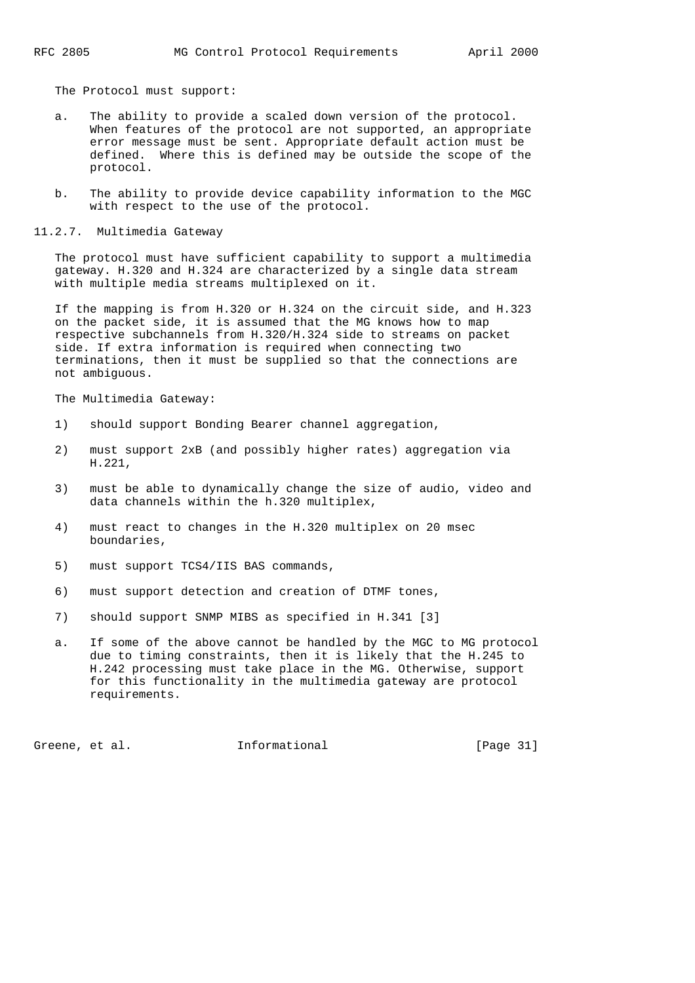The Protocol must support:

- a. The ability to provide a scaled down version of the protocol. When features of the protocol are not supported, an appropriate error message must be sent. Appropriate default action must be defined. Where this is defined may be outside the scope of the protocol.
- b. The ability to provide device capability information to the MGC with respect to the use of the protocol.
- 11.2.7. Multimedia Gateway

 The protocol must have sufficient capability to support a multimedia gateway. H.320 and H.324 are characterized by a single data stream with multiple media streams multiplexed on it.

 If the mapping is from H.320 or H.324 on the circuit side, and H.323 on the packet side, it is assumed that the MG knows how to map respective subchannels from H.320/H.324 side to streams on packet side. If extra information is required when connecting two terminations, then it must be supplied so that the connections are not ambiguous.

The Multimedia Gateway:

- 1) should support Bonding Bearer channel aggregation,
- 2) must support 2xB (and possibly higher rates) aggregation via H.221,
- 3) must be able to dynamically change the size of audio, video and data channels within the h.320 multiplex,
- 4) must react to changes in the H.320 multiplex on 20 msec boundaries,
- 5) must support TCS4/IIS BAS commands,
- 6) must support detection and creation of DTMF tones,
- 7) should support SNMP MIBS as specified in H.341 [3]
- a. If some of the above cannot be handled by the MGC to MG protocol due to timing constraints, then it is likely that the H.245 to H.242 processing must take place in the MG. Otherwise, support for this functionality in the multimedia gateway are protocol requirements.

Greene, et al. **Informational** [Page 31]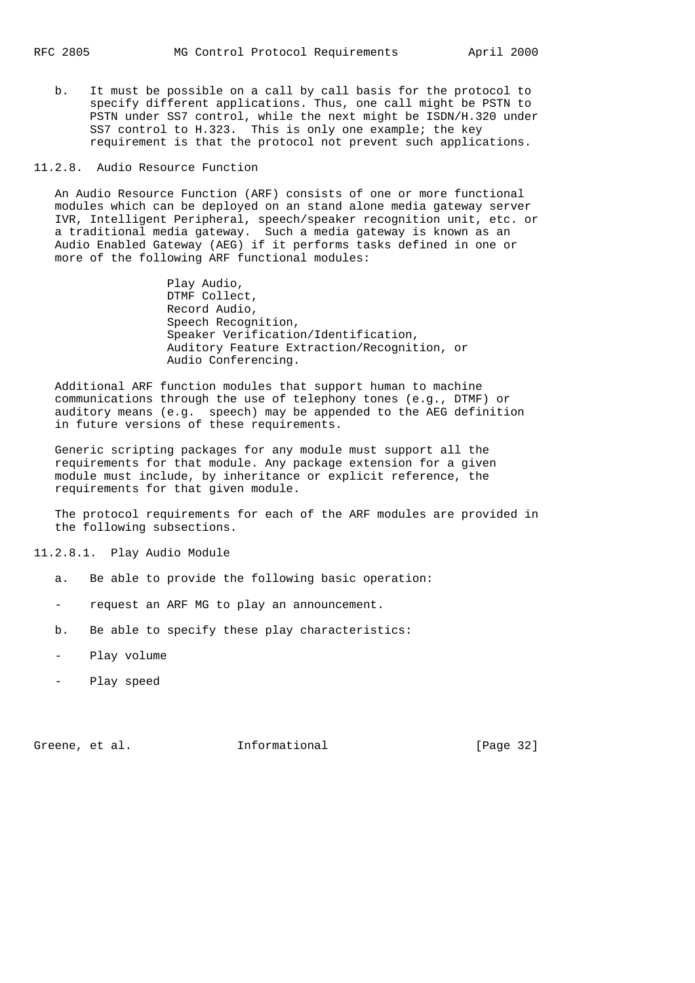b. It must be possible on a call by call basis for the protocol to specify different applications. Thus, one call might be PSTN to PSTN under SS7 control, while the next might be ISDN/H.320 under SS7 control to H.323. This is only one example; the key requirement is that the protocol not prevent such applications.

### 11.2.8. Audio Resource Function

 An Audio Resource Function (ARF) consists of one or more functional modules which can be deployed on an stand alone media gateway server IVR, Intelligent Peripheral, speech/speaker recognition unit, etc. or a traditional media gateway. Such a media gateway is known as an Audio Enabled Gateway (AEG) if it performs tasks defined in one or more of the following ARF functional modules:

> Play Audio, DTMF Collect, Record Audio, Speech Recognition, Speaker Verification/Identification, Auditory Feature Extraction/Recognition, or Audio Conferencing.

 Additional ARF function modules that support human to machine communications through the use of telephony tones (e.g., DTMF) or auditory means (e.g. speech) may be appended to the AEG definition in future versions of these requirements.

 Generic scripting packages for any module must support all the requirements for that module. Any package extension for a given module must include, by inheritance or explicit reference, the requirements for that given module.

 The protocol requirements for each of the ARF modules are provided in the following subsections.

11.2.8.1. Play Audio Module

- a. Be able to provide the following basic operation:
- request an ARF MG to play an announcement.
- b. Be able to specify these play characteristics:
- Play volume
- Play speed

Greene, et al. **Informational** [Page 32]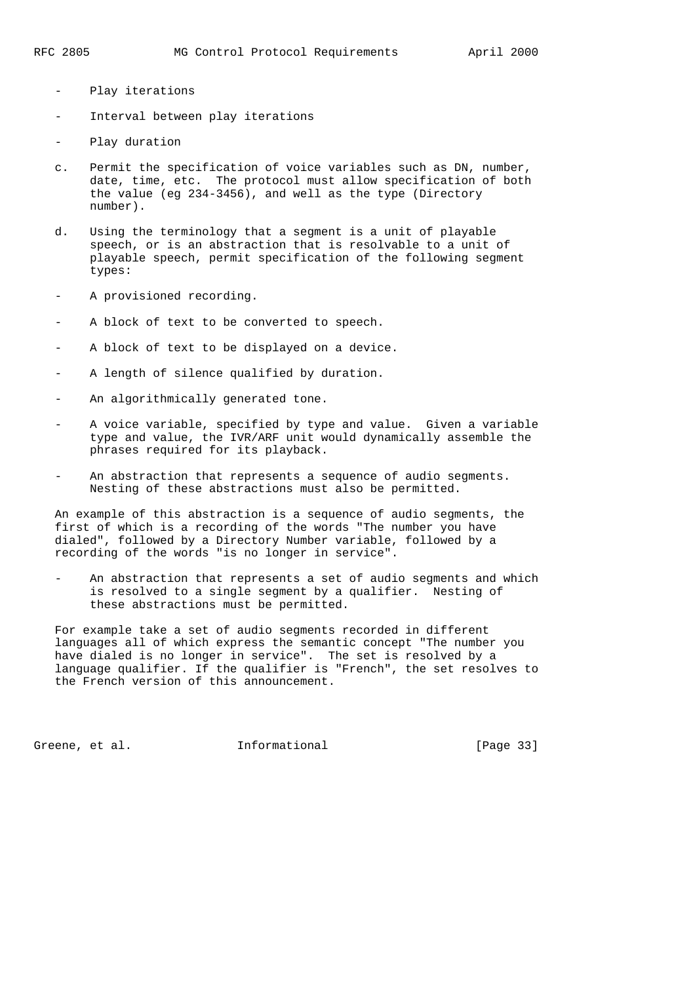- Play iterations
- Interval between play iterations
- Play duration
- c. Permit the specification of voice variables such as DN, number, date, time, etc. The protocol must allow specification of both the value (eg 234-3456), and well as the type (Directory number).
- d. Using the terminology that a segment is a unit of playable speech, or is an abstraction that is resolvable to a unit of playable speech, permit specification of the following segment types:
- A provisioned recording.
- A block of text to be converted to speech.
- A block of text to be displayed on a device.
- A length of silence qualified by duration.
- An algorithmically generated tone.
- A voice variable, specified by type and value. Given a variable type and value, the IVR/ARF unit would dynamically assemble the phrases required for its playback.
- An abstraction that represents a sequence of audio segments. Nesting of these abstractions must also be permitted.

 An example of this abstraction is a sequence of audio segments, the first of which is a recording of the words "The number you have dialed", followed by a Directory Number variable, followed by a recording of the words "is no longer in service".

An abstraction that represents a set of audio segments and which is resolved to a single segment by a qualifier. Nesting of these abstractions must be permitted.

 For example take a set of audio segments recorded in different languages all of which express the semantic concept "The number you have dialed is no longer in service". The set is resolved by a language qualifier. If the qualifier is "French", the set resolves to the French version of this announcement.

Greene, et al. **Informational** [Page 33]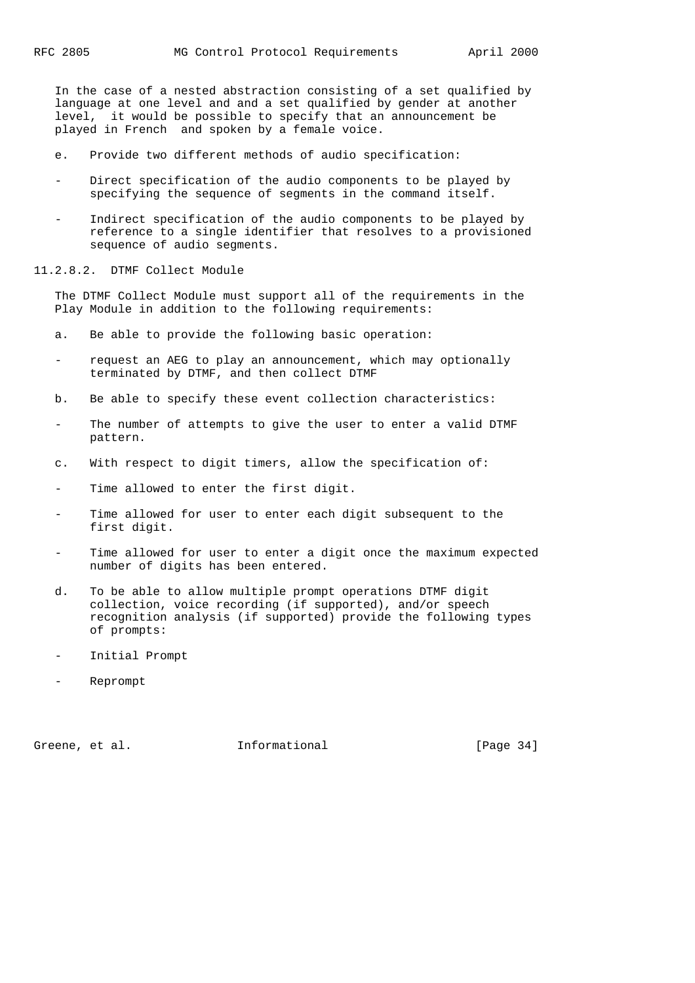In the case of a nested abstraction consisting of a set qualified by language at one level and and a set qualified by gender at another level, it would be possible to specify that an announcement be played in French and spoken by a female voice.

- e. Provide two different methods of audio specification:
- Direct specification of the audio components to be played by specifying the sequence of segments in the command itself.
- Indirect specification of the audio components to be played by reference to a single identifier that resolves to a provisioned sequence of audio segments.

11.2.8.2. DTMF Collect Module

 The DTMF Collect Module must support all of the requirements in the Play Module in addition to the following requirements:

- a. Be able to provide the following basic operation:
- request an AEG to play an announcement, which may optionally terminated by DTMF, and then collect DTMF
- b. Be able to specify these event collection characteristics:
- The number of attempts to give the user to enter a valid DTMF pattern.
- c. With respect to digit timers, allow the specification of:
- Time allowed to enter the first digit.
- Time allowed for user to enter each digit subsequent to the first digit.
- Time allowed for user to enter a digit once the maximum expected number of digits has been entered.
- d. To be able to allow multiple prompt operations DTMF digit collection, voice recording (if supported), and/or speech recognition analysis (if supported) provide the following types of prompts:
- Initial Prompt
- Reprompt

Greene, et al. 1nformational [Page 34]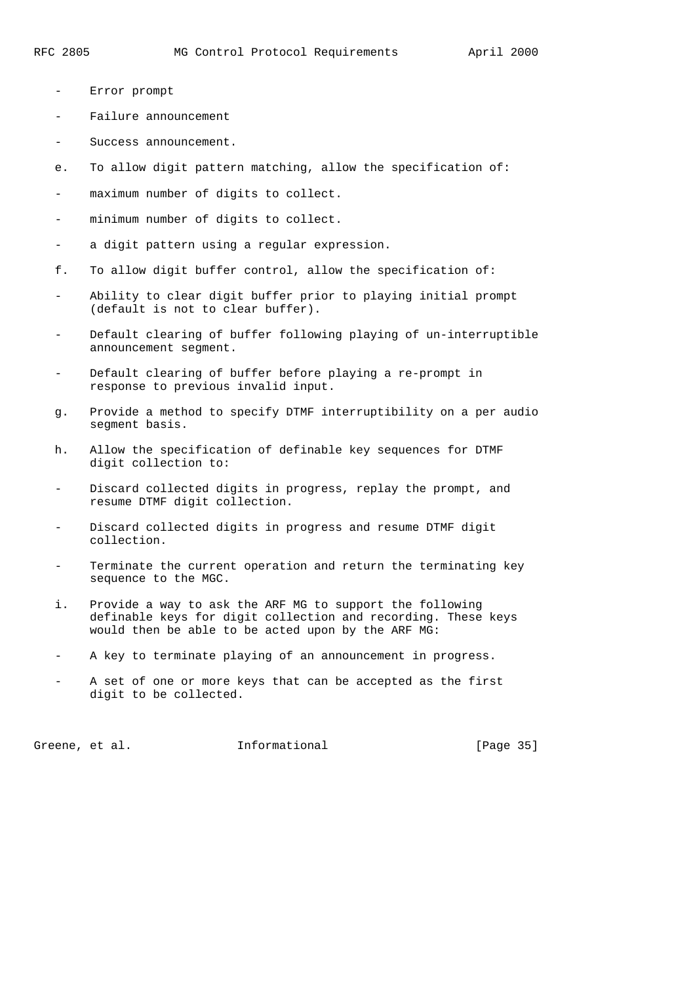- Error prompt
- Failure announcement
- Success announcement.
- e. To allow digit pattern matching, allow the specification of:
- maximum number of digits to collect.
- minimum number of digits to collect.
- a digit pattern using a regular expression.
- f. To allow digit buffer control, allow the specification of:
- Ability to clear digit buffer prior to playing initial prompt (default is not to clear buffer).
- Default clearing of buffer following playing of un-interruptible announcement segment.
- Default clearing of buffer before playing a re-prompt in response to previous invalid input.
- g. Provide a method to specify DTMF interruptibility on a per audio segment basis.
- h. Allow the specification of definable key sequences for DTMF digit collection to:
- Discard collected digits in progress, replay the prompt, and resume DTMF digit collection.
- Discard collected digits in progress and resume DTMF digit collection.
- Terminate the current operation and return the terminating key sequence to the MGC.
- i. Provide a way to ask the ARF MG to support the following definable keys for digit collection and recording. These keys would then be able to be acted upon by the ARF MG:
- A key to terminate playing of an announcement in progress.
- A set of one or more keys that can be accepted as the first digit to be collected.

Greene, et al. **Informational** [Page 35]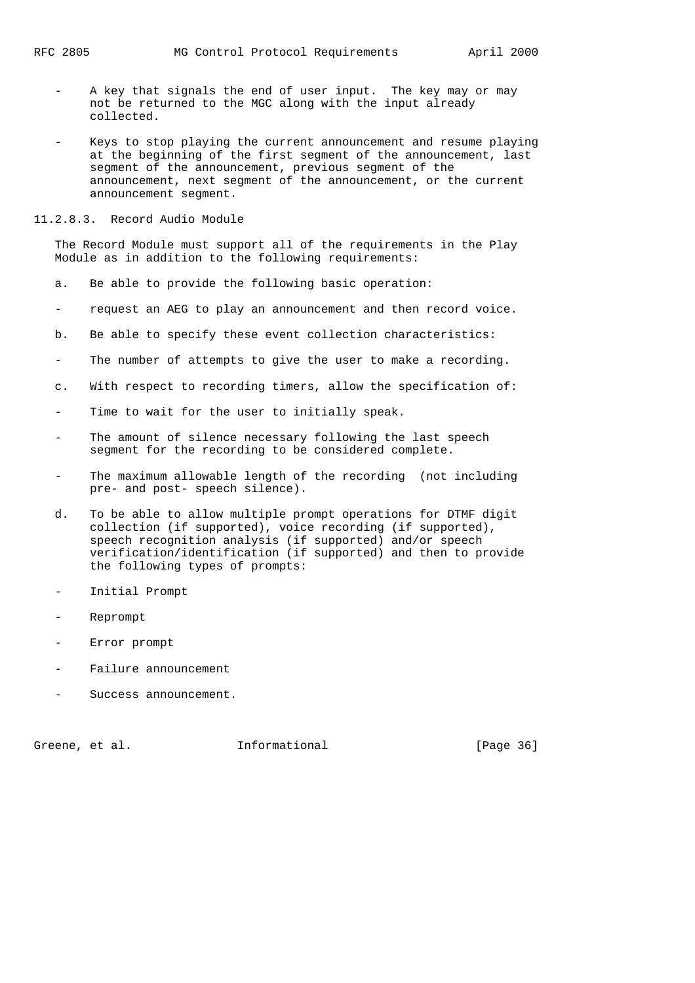- A key that signals the end of user input. The key may or may not be returned to the MGC along with the input already collected.
- Keys to stop playing the current announcement and resume playing at the beginning of the first segment of the announcement, last segment of the announcement, previous segment of the announcement, next segment of the announcement, or the current announcement segment.
- 11.2.8.3. Record Audio Module

 The Record Module must support all of the requirements in the Play Module as in addition to the following requirements:

- a. Be able to provide the following basic operation:
- request an AEG to play an announcement and then record voice.
- b. Be able to specify these event collection characteristics:
- The number of attempts to give the user to make a recording.
- c. With respect to recording timers, allow the specification of:
- Time to wait for the user to initially speak.
- The amount of silence necessary following the last speech segment for the recording to be considered complete.
- The maximum allowable length of the recording (not including pre- and post- speech silence).
- d. To be able to allow multiple prompt operations for DTMF digit collection (if supported), voice recording (if supported), speech recognition analysis (if supported) and/or speech verification/identification (if supported) and then to provide the following types of prompts:
- Initial Prompt
- Reprompt
- Error prompt
- Failure announcement
- Success announcement.

Greene, et al. **Informational** [Page 36]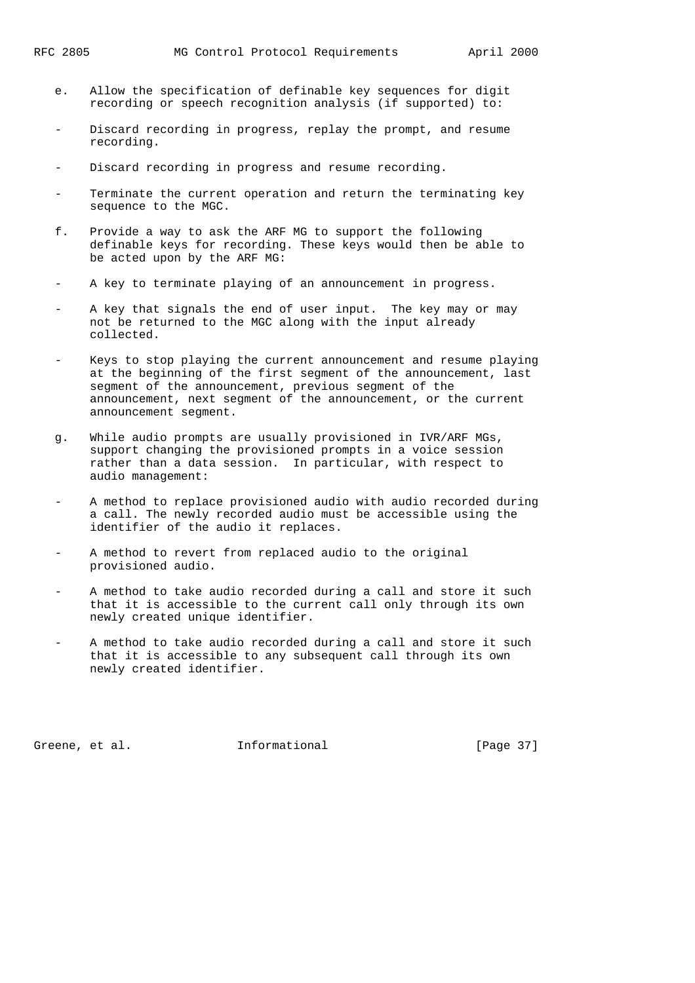- e. Allow the specification of definable key sequences for digit recording or speech recognition analysis (if supported) to:
- Discard recording in progress, replay the prompt, and resume recording.
- Discard recording in progress and resume recording.
- Terminate the current operation and return the terminating key sequence to the MGC.
- f. Provide a way to ask the ARF MG to support the following definable keys for recording. These keys would then be able to be acted upon by the ARF MG:
- A key to terminate playing of an announcement in progress.
- A key that signals the end of user input. The key may or may not be returned to the MGC along with the input already collected.
- Keys to stop playing the current announcement and resume playing at the beginning of the first segment of the announcement, last segment of the announcement, previous segment of the announcement, next segment of the announcement, or the current announcement segment.
- g. While audio prompts are usually provisioned in IVR/ARF MGs, support changing the provisioned prompts in a voice session rather than a data session. In particular, with respect to audio management:
- A method to replace provisioned audio with audio recorded during a call. The newly recorded audio must be accessible using the identifier of the audio it replaces.
- A method to revert from replaced audio to the original provisioned audio.
- A method to take audio recorded during a call and store it such that it is accessible to the current call only through its own newly created unique identifier.
- A method to take audio recorded during a call and store it such that it is accessible to any subsequent call through its own newly created identifier.

Greene, et al. 1nformational [Page 37]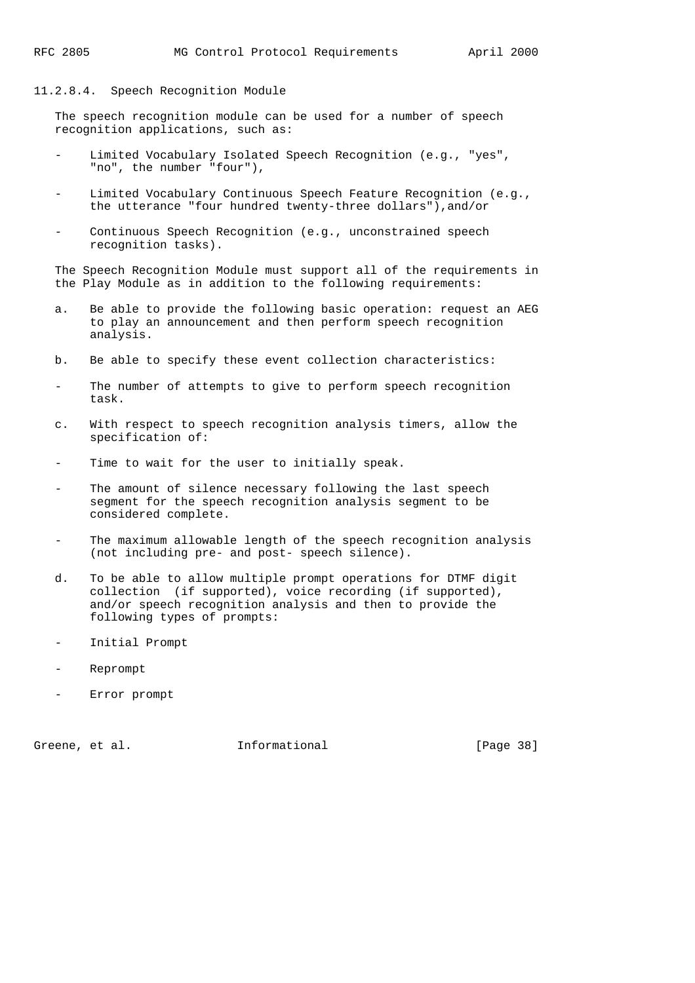### 11.2.8.4. Speech Recognition Module

 The speech recognition module can be used for a number of speech recognition applications, such as:

- Limited Vocabulary Isolated Speech Recognition (e.g., "yes", "no", the number "four"),
- Limited Vocabulary Continuous Speech Feature Recognition (e.g., the utterance "four hundred twenty-three dollars"),and/or
- Continuous Speech Recognition (e.g., unconstrained speech recognition tasks).

 The Speech Recognition Module must support all of the requirements in the Play Module as in addition to the following requirements:

- a. Be able to provide the following basic operation: request an AEG to play an announcement and then perform speech recognition analysis.
- b. Be able to specify these event collection characteristics:
- The number of attempts to give to perform speech recognition task.
- c. With respect to speech recognition analysis timers, allow the specification of:
- Time to wait for the user to initially speak.
- The amount of silence necessary following the last speech segment for the speech recognition analysis segment to be considered complete.
- The maximum allowable length of the speech recognition analysis (not including pre- and post- speech silence).
- d. To be able to allow multiple prompt operations for DTMF digit collection (if supported), voice recording (if supported), and/or speech recognition analysis and then to provide the following types of prompts:
- Initial Prompt
- Reprompt
- Error prompt

Greene, et al. **Informational** [Page 38]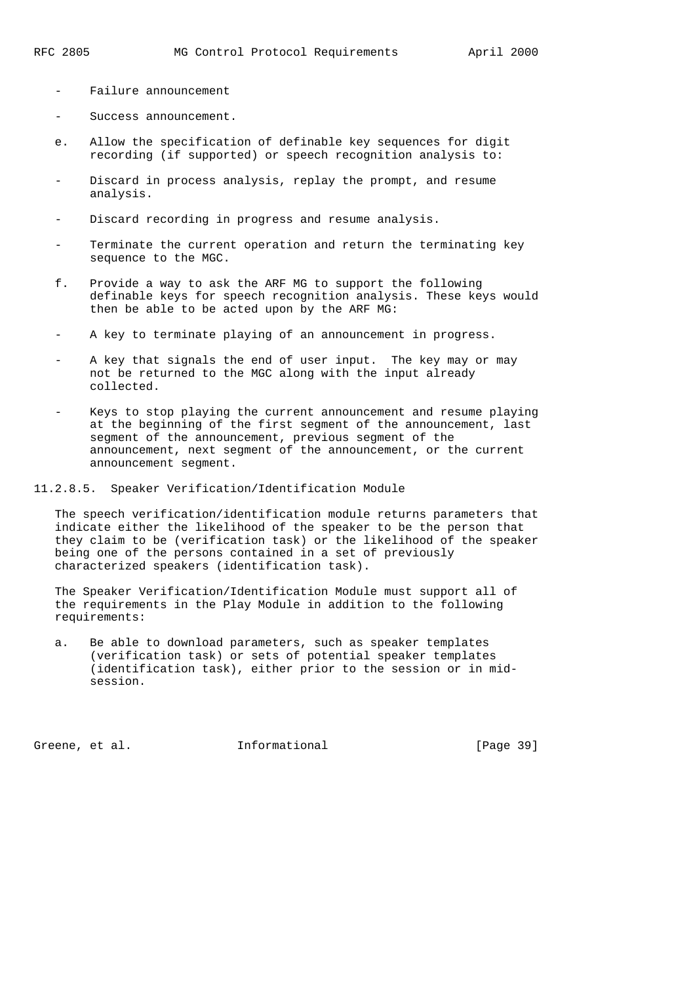- Failure announcement
- Success announcement.
- e. Allow the specification of definable key sequences for digit recording (if supported) or speech recognition analysis to:
- Discard in process analysis, replay the prompt, and resume analysis.
- Discard recording in progress and resume analysis.
- Terminate the current operation and return the terminating key sequence to the MGC.
- f. Provide a way to ask the ARF MG to support the following definable keys for speech recognition analysis. These keys would then be able to be acted upon by the ARF MG:
- A key to terminate playing of an announcement in progress.
- A key that signals the end of user input. The key may or may not be returned to the MGC along with the input already collected.
- Keys to stop playing the current announcement and resume playing at the beginning of the first segment of the announcement, last segment of the announcement, previous segment of the announcement, next segment of the announcement, or the current announcement segment.
- 11.2.8.5. Speaker Verification/Identification Module

 The speech verification/identification module returns parameters that indicate either the likelihood of the speaker to be the person that they claim to be (verification task) or the likelihood of the speaker being one of the persons contained in a set of previously characterized speakers (identification task).

 The Speaker Verification/Identification Module must support all of the requirements in the Play Module in addition to the following requirements:

 a. Be able to download parameters, such as speaker templates (verification task) or sets of potential speaker templates (identification task), either prior to the session or in mid session.

Greene, et al. 1nformational [Page 39]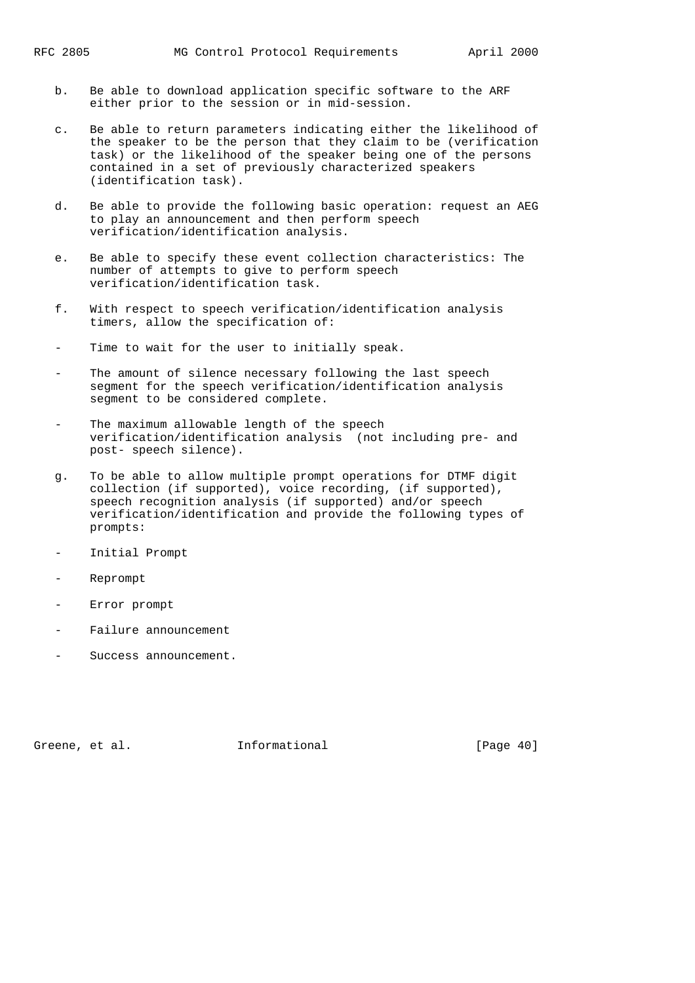- b. Be able to download application specific software to the ARF either prior to the session or in mid-session.
- c. Be able to return parameters indicating either the likelihood of the speaker to be the person that they claim to be (verification task) or the likelihood of the speaker being one of the persons contained in a set of previously characterized speakers (identification task).
- d. Be able to provide the following basic operation: request an AEG to play an announcement and then perform speech verification/identification analysis.
- e. Be able to specify these event collection characteristics: The number of attempts to give to perform speech verification/identification task.
- f. With respect to speech verification/identification analysis timers, allow the specification of:
- Time to wait for the user to initially speak.
- The amount of silence necessary following the last speech segment for the speech verification/identification analysis segment to be considered complete.
- The maximum allowable length of the speech verification/identification analysis (not including pre- and post- speech silence).
- g. To be able to allow multiple prompt operations for DTMF digit collection (if supported), voice recording, (if supported), speech recognition analysis (if supported) and/or speech verification/identification and provide the following types of prompts:
- Initial Prompt
- Reprompt
- Error prompt
- Failure announcement
- Success announcement.

Greene, et al. **Informational** [Page 40]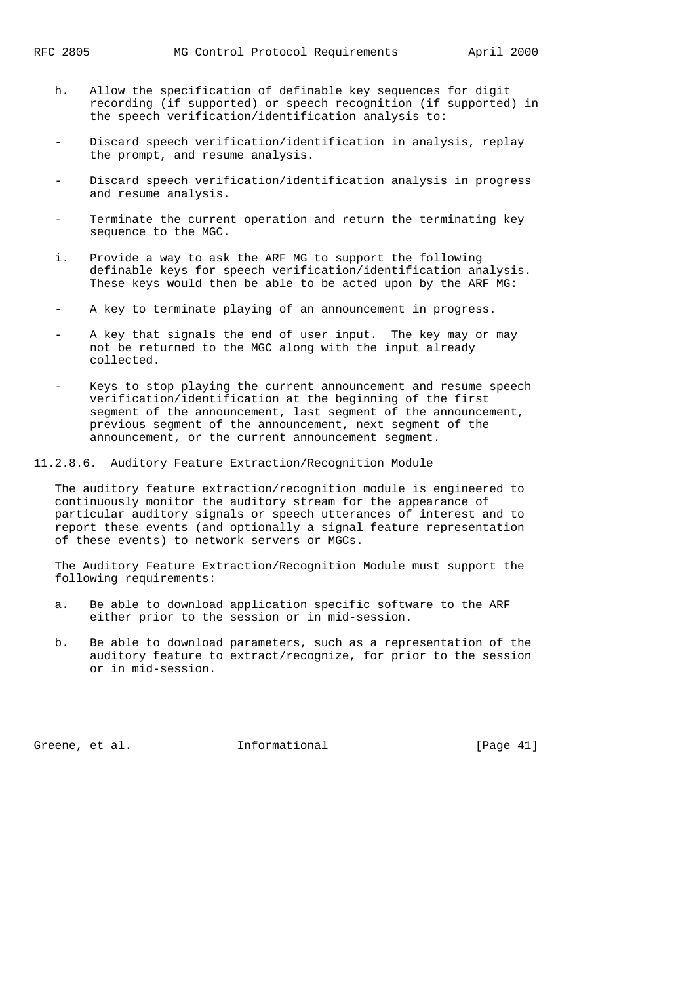- h. Allow the specification of definable key sequences for digit recording (if supported) or speech recognition (if supported) in the speech verification/identification analysis to:
- Discard speech verification/identification in analysis, replay the prompt, and resume analysis.
- Discard speech verification/identification analysis in progress and resume analysis.
- Terminate the current operation and return the terminating key sequence to the MGC.
- i. Provide a way to ask the ARF MG to support the following definable keys for speech verification/identification analysis. These keys would then be able to be acted upon by the ARF MG:
- A key to terminate playing of an announcement in progress.
- A key that signals the end of user input. The key may or may not be returned to the MGC along with the input already collected.
- Keys to stop playing the current announcement and resume speech verification/identification at the beginning of the first segment of the announcement, last segment of the announcement, previous segment of the announcement, next segment of the announcement, or the current announcement segment.

11.2.8.6. Auditory Feature Extraction/Recognition Module

 The auditory feature extraction/recognition module is engineered to continuously monitor the auditory stream for the appearance of particular auditory signals or speech utterances of interest and to report these events (and optionally a signal feature representation of these events) to network servers or MGCs.

 The Auditory Feature Extraction/Recognition Module must support the following requirements:

- a. Be able to download application specific software to the ARF either prior to the session or in mid-session.
- b. Be able to download parameters, such as a representation of the auditory feature to extract/recognize, for prior to the session or in mid-session.

Greene, et al. 1nformational [Page 41]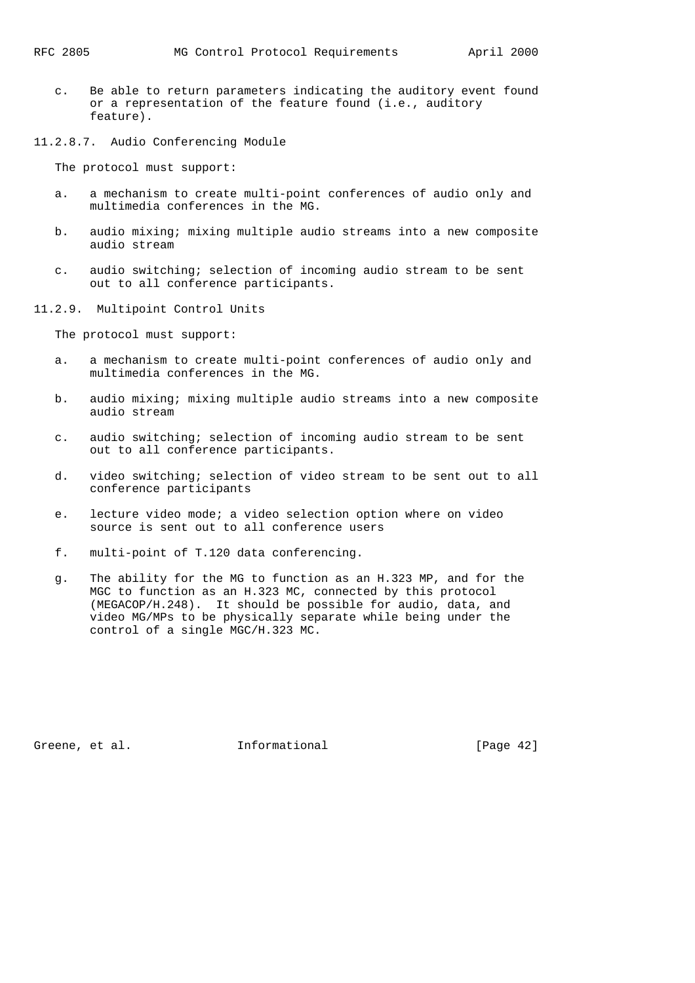- c. Be able to return parameters indicating the auditory event found or a representation of the feature found (i.e., auditory feature).
- 11.2.8.7. Audio Conferencing Module

The protocol must support:

- a. a mechanism to create multi-point conferences of audio only and multimedia conferences in the MG.
- b. audio mixing; mixing multiple audio streams into a new composite audio stream
- c. audio switching; selection of incoming audio stream to be sent out to all conference participants.
- 11.2.9. Multipoint Control Units

The protocol must support:

- a. a mechanism to create multi-point conferences of audio only and multimedia conferences in the MG.
- b. audio mixing; mixing multiple audio streams into a new composite audio stream
- c. audio switching; selection of incoming audio stream to be sent out to all conference participants.
- d. video switching; selection of video stream to be sent out to all conference participants
- e. lecture video mode; a video selection option where on video source is sent out to all conference users
- f. multi-point of T.120 data conferencing.
- g. The ability for the MG to function as an H.323 MP, and for the MGC to function as an H.323 MC, connected by this protocol (MEGACOP/H.248). It should be possible for audio, data, and video MG/MPs to be physically separate while being under the control of a single MGC/H.323 MC.

Greene, et al. **Informational** [Page 42]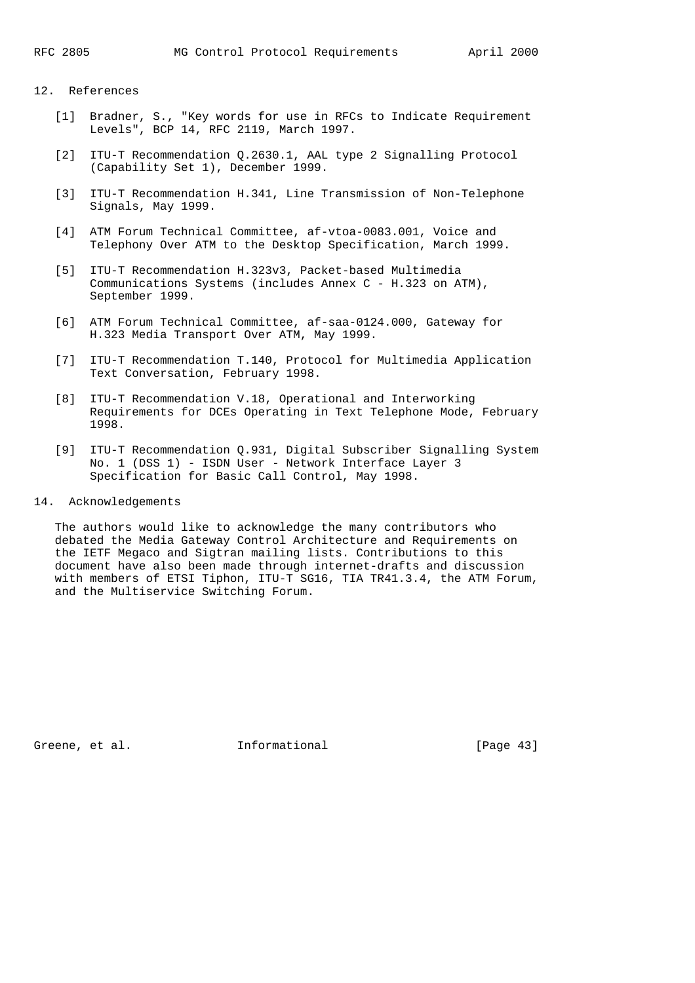## 12. References

- [1] Bradner, S., "Key words for use in RFCs to Indicate Requirement Levels", BCP 14, RFC 2119, March 1997.
- [2] ITU-T Recommendation Q.2630.1, AAL type 2 Signalling Protocol (Capability Set 1), December 1999.
- [3] ITU-T Recommendation H.341, Line Transmission of Non-Telephone Signals, May 1999.
- [4] ATM Forum Technical Committee, af-vtoa-0083.001, Voice and Telephony Over ATM to the Desktop Specification, March 1999.
- [5] ITU-T Recommendation H.323v3, Packet-based Multimedia Communications Systems (includes Annex C - H.323 on ATM), September 1999.
- [6] ATM Forum Technical Committee, af-saa-0124.000, Gateway for H.323 Media Transport Over ATM, May 1999.
- [7] ITU-T Recommendation T.140, Protocol for Multimedia Application Text Conversation, February 1998.
- [8] ITU-T Recommendation V.18, Operational and Interworking Requirements for DCEs Operating in Text Telephone Mode, February 1998.
- [9] ITU-T Recommendation Q.931, Digital Subscriber Signalling System No. 1 (DSS 1) - ISDN User - Network Interface Layer 3 Specification for Basic Call Control, May 1998.
- 14. Acknowledgements

 The authors would like to acknowledge the many contributors who debated the Media Gateway Control Architecture and Requirements on the IETF Megaco and Sigtran mailing lists. Contributions to this document have also been made through internet-drafts and discussion with members of ETSI Tiphon, ITU-T SG16, TIA TR41.3.4, the ATM Forum, and the Multiservice Switching Forum.

Greene, et al. 1nformational [Page 43]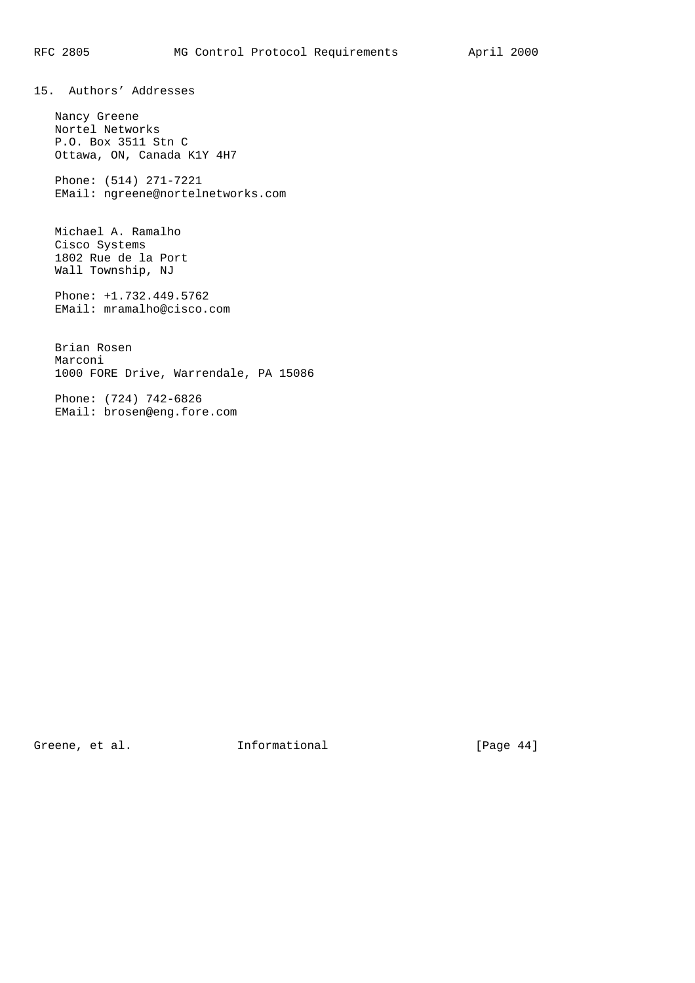15. Authors' Addresses

 Nancy Greene Nortel Networks P.O. Box 3511 Stn C Ottawa, ON, Canada K1Y 4H7

 Phone: (514) 271-7221 EMail: ngreene@nortelnetworks.com

 Michael A. Ramalho Cisco Systems 1802 Rue de la Port Wall Township, NJ

 Phone: +1.732.449.5762 EMail: mramalho@cisco.com

 Brian Rosen Marconi 1000 FORE Drive, Warrendale, PA 15086

 Phone: (724) 742-6826 EMail: brosen@eng.fore.com

Greene, et al. 1nformational [Page 44]